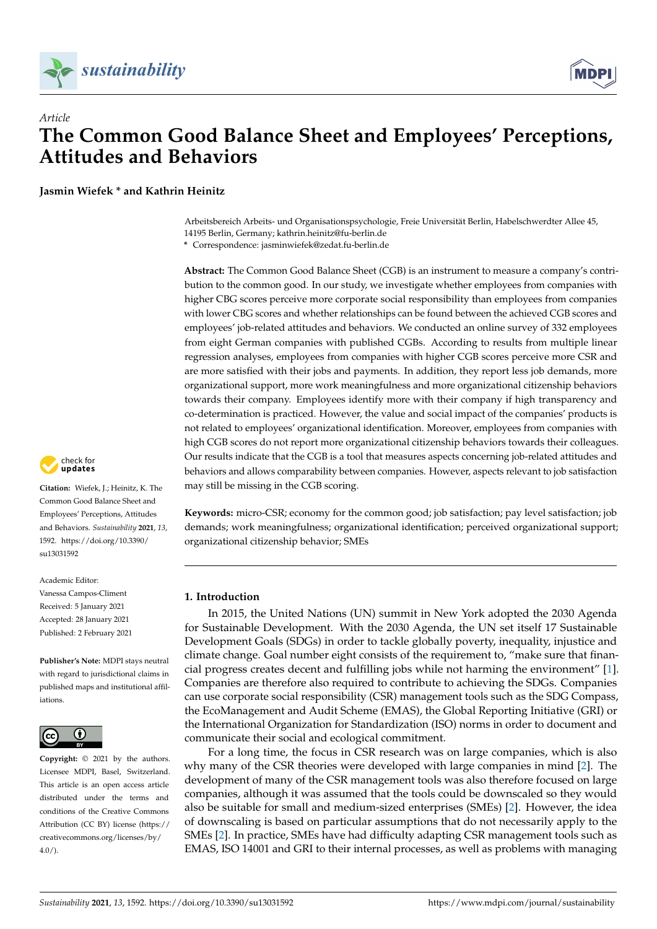



**Jasmin Wiefek \* and Kathrin Heinitz**

Arbeitsbereich Arbeits- und Organisationspsychologie, Freie Universität Berlin, Habelschwerdter Allee 45, 14195 Berlin, Germany; kathrin.heinitz@fu-berlin.de

**\*** Correspondence: jasminwiefek@zedat.fu-berlin.de

**Abstract:** The Common Good Balance Sheet (CGB) is an instrument to measure a company's contribution to the common good. In our study, we investigate whether employees from companies with higher CBG scores perceive more corporate social responsibility than employees from companies with lower CBG scores and whether relationships can be found between the achieved CGB scores and employees' job-related attitudes and behaviors. We conducted an online survey of 332 employees from eight German companies with published CGBs. According to results from multiple linear regression analyses, employees from companies with higher CGB scores perceive more CSR and are more satisfied with their jobs and payments. In addition, they report less job demands, more organizational support, more work meaningfulness and more organizational citizenship behaviors towards their company. Employees identify more with their company if high transparency and co-determination is practiced. However, the value and social impact of the companies' products is not related to employees' organizational identification. Moreover, employees from companies with high CGB scores do not report more organizational citizenship behaviors towards their colleagues. Our results indicate that the CGB is a tool that measures aspects concerning job-related attitudes and behaviors and allows comparability between companies. However, aspects relevant to job satisfaction may still be missing in the CGB scoring.

**Keywords:** micro-CSR; economy for the common good; job satisfaction; pay level satisfaction; job demands; work meaningfulness; organizational identification; perceived organizational support; organizational citizenship behavior; SMEs

### **1. Introduction**

In 2015, the United Nations (UN) summit in New York adopted the 2030 Agenda for Sustainable Development. With the 2030 Agenda, the UN set itself 17 Sustainable Development Goals (SDGs) in order to tackle globally poverty, inequality, injustice and climate change. Goal number eight consists of the requirement to, "make sure that financial progress creates decent and fulfilling jobs while not harming the environment" [\[1\]](#page-26-0). Companies are therefore also required to contribute to achieving the SDGs. Companies can use corporate social responsibility (CSR) management tools such as the SDG Compass, the EcoManagement and Audit Scheme (EMAS), the Global Reporting Initiative (GRI) or the International Organization for Standardization (ISO) norms in order to document and communicate their social and ecological commitment.

For a long time, the focus in CSR research was on large companies, which is also why many of the CSR theories were developed with large companies in mind [\[2\]](#page-27-0). The development of many of the CSR management tools was also therefore focused on large companies, although it was assumed that the tools could be downscaled so they would also be suitable for small and medium-sized enterprises (SMEs) [\[2\]](#page-27-0). However, the idea of downscaling is based on particular assumptions that do not necessarily apply to the SMEs [\[2\]](#page-27-0). In practice, SMEs have had difficulty adapting CSR management tools such as EMAS, ISO 14001 and GRI to their internal processes, as well as problems with managing



**Citation:** Wiefek, J.; Heinitz, K. The Common Good Balance Sheet and Employees' Perceptions, Attitudes and Behaviors. *Sustainability* **2021**, *13*, 1592. [https://doi.org/10.3390/](https://doi.org/10.3390/su13031592) [su13031592](https://doi.org/10.3390/su13031592)

Academic Editor: Vanessa Campos-Climent Received: 5 January 2021 Accepted: 28 January 2021 Published: 2 February 2021

**Publisher's Note:** MDPI stays neutral with regard to jurisdictional claims in published maps and institutional affiliations.



**Copyright:** © 2021 by the authors. Licensee MDPI, Basel, Switzerland. This article is an open access article distributed under the terms and conditions of the Creative Commons Attribution (CC BY) license (https:/[/](https://creativecommons.org/licenses/by/4.0/) [creativecommons.org/licenses/by/](https://creativecommons.org/licenses/by/4.0/)  $4.0/$ ).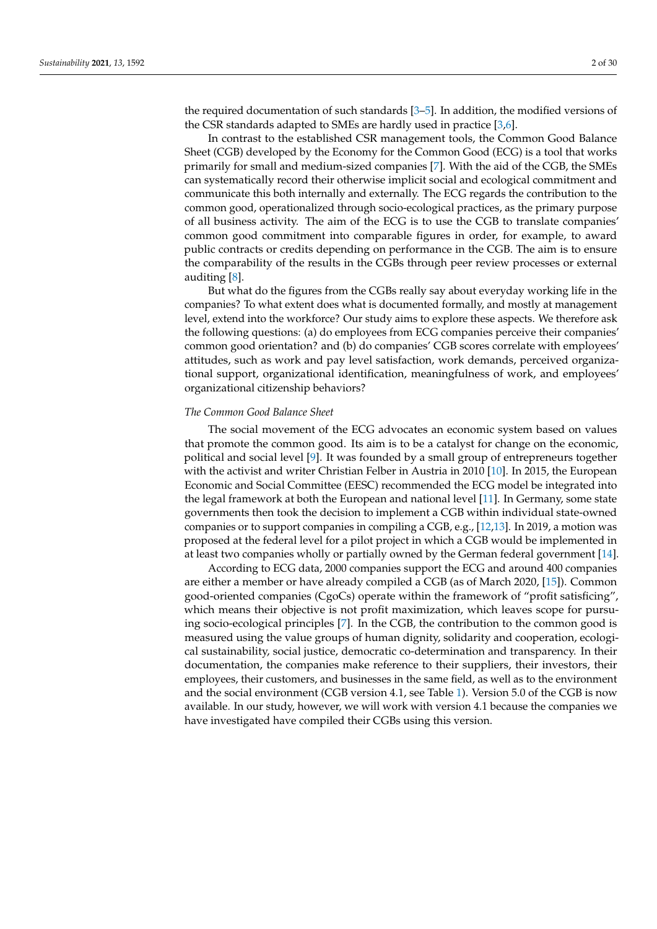the required documentation of such standards [\[3](#page-27-1)[–5\]](#page-27-2). In addition, the modified versions of the CSR standards adapted to SMEs are hardly used in practice [\[3](#page-27-1)[,6\]](#page-27-3).

In contrast to the established CSR management tools, the Common Good Balance Sheet (CGB) developed by the Economy for the Common Good (ECG) is a tool that works primarily for small and medium-sized companies [\[7\]](#page-27-4). With the aid of the CGB, the SMEs can systematically record their otherwise implicit social and ecological commitment and communicate this both internally and externally. The ECG regards the contribution to the common good, operationalized through socio-ecological practices, as the primary purpose of all business activity. The aim of the ECG is to use the CGB to translate companies' common good commitment into comparable figures in order, for example, to award public contracts or credits depending on performance in the CGB. The aim is to ensure the comparability of the results in the CGBs through peer review processes or external auditing [\[8\]](#page-27-5).

But what do the figures from the CGBs really say about everyday working life in the companies? To what extent does what is documented formally, and mostly at management level, extend into the workforce? Our study aims to explore these aspects. We therefore ask the following questions: (a) do employees from ECG companies perceive their companies' common good orientation? and (b) do companies' CGB scores correlate with employees' attitudes, such as work and pay level satisfaction, work demands, perceived organizational support, organizational identification, meaningfulness of work, and employees' organizational citizenship behaviors?

#### *The Common Good Balance Sheet*

The social movement of the ECG advocates an economic system based on values that promote the common good. Its aim is to be a catalyst for change on the economic, political and social level [\[9\]](#page-27-6). It was founded by a small group of entrepreneurs together with the activist and writer Christian Felber in Austria in 2010 [\[10\]](#page-27-7). In 2015, the European Economic and Social Committee (EESC) recommended the ECG model be integrated into the legal framework at both the European and national level [\[11\]](#page-27-8). In Germany, some state governments then took the decision to implement a CGB within individual state-owned companies or to support companies in compiling a CGB, e.g., [\[12,](#page-27-9)[13\]](#page-27-10). In 2019, a motion was proposed at the federal level for a pilot project in which a CGB would be implemented in at least two companies wholly or partially owned by the German federal government [\[14\]](#page-27-11).

According to ECG data, 2000 companies support the ECG and around 400 companies are either a member or have already compiled a CGB (as of March 2020, [\[15\]](#page-27-12)). Common good-oriented companies (CgoCs) operate within the framework of "profit satisficing", which means their objective is not profit maximization, which leaves scope for pursuing socio-ecological principles [\[7\]](#page-27-4). In the CGB, the contribution to the common good is measured using the value groups of human dignity, solidarity and cooperation, ecological sustainability, social justice, democratic co-determination and transparency. In their documentation, the companies make reference to their suppliers, their investors, their employees, their customers, and businesses in the same field, as well as to the environment and the social environment (CGB version 4.1, see Table [1\)](#page-2-0). Version 5.0 of the CGB is now available. In our study, however, we will work with version 4.1 because the companies we have investigated have compiled their CGBs using this version.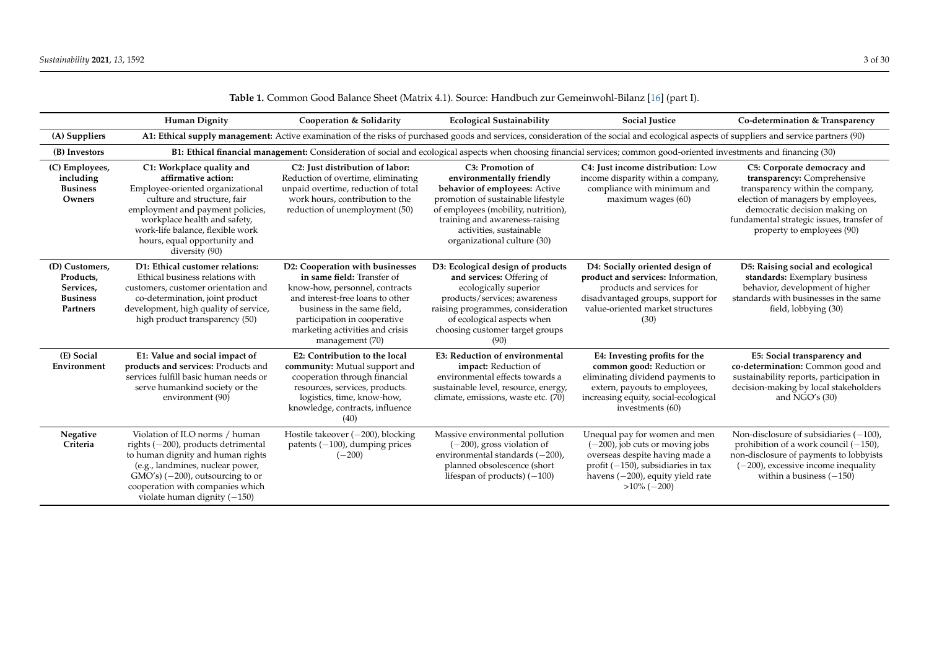<span id="page-2-0"></span>

|                                                                         | <b>Human Dignity</b>                                                                                                                                                                                                                                                          | Cooperation & Solidarity                                                                                                                                                                                                                                 | <b>Ecological Sustainability</b>                                                                                                                                                                                                                       | <b>Social Justice</b>                                                                                                                                                                                       | Co-determination & Transparency                                                                                                                                                                                                                  |
|-------------------------------------------------------------------------|-------------------------------------------------------------------------------------------------------------------------------------------------------------------------------------------------------------------------------------------------------------------------------|----------------------------------------------------------------------------------------------------------------------------------------------------------------------------------------------------------------------------------------------------------|--------------------------------------------------------------------------------------------------------------------------------------------------------------------------------------------------------------------------------------------------------|-------------------------------------------------------------------------------------------------------------------------------------------------------------------------------------------------------------|--------------------------------------------------------------------------------------------------------------------------------------------------------------------------------------------------------------------------------------------------|
| (A) Suppliers                                                           |                                                                                                                                                                                                                                                                               |                                                                                                                                                                                                                                                          |                                                                                                                                                                                                                                                        | A1: Ethical supply management: Active examination of the risks of purchased goods and services, consideration of the social and ecological aspects of suppliers and service partners (90)                   |                                                                                                                                                                                                                                                  |
| (B) Investors                                                           |                                                                                                                                                                                                                                                                               |                                                                                                                                                                                                                                                          |                                                                                                                                                                                                                                                        | B1: Ethical financial management: Consideration of social and ecological aspects when choosing financial services; common good-oriented investments and financing (30)                                      |                                                                                                                                                                                                                                                  |
| (C) Employees,<br>including<br><b>Business</b><br>Owners                | C1: Workplace quality and<br>affirmative action:<br>Employee-oriented organizational<br>culture and structure, fair<br>employment and payment policies,<br>workplace health and safety,<br>work-life balance, flexible work<br>hours, equal opportunity and<br>diversity (90) | C2: Just distribution of labor:<br>Reduction of overtime, eliminating<br>unpaid overtime, reduction of total<br>work hours, contribution to the<br>reduction of unemployment (50)                                                                        | C3: Promotion of<br>environmentally friendly<br>behavior of employees: Active<br>promotion of sustainable lifestyle<br>of employees (mobility, nutrition),<br>training and awareness-raising<br>activities, sustainable<br>organizational culture (30) | C4: Just income distribution: Low<br>income disparity within a company,<br>compliance with minimum and<br>maximum wages (60)                                                                                | C5: Corporate democracy and<br>transparency: Comprehensive<br>transparency within the company,<br>election of managers by employees,<br>democratic decision making on<br>fundamental strategic issues, transfer of<br>property to employees (90) |
| (D) Customers,<br>Products,<br>Services,<br><b>Business</b><br>Partners | D1: Ethical customer relations:<br>Ethical business relations with<br>customers, customer orientation and<br>co-determination, joint product<br>development, high quality of service,<br>high product transparency (50)                                                       | D2: Cooperation with businesses<br>in same field: Transfer of<br>know-how, personnel, contracts<br>and interest-free loans to other<br>business in the same field,<br>participation in cooperative<br>marketing activities and crisis<br>management (70) | D3: Ecological design of products<br>and services: Offering of<br>ecologically superior<br>products/services; awareness<br>raising programmes, consideration<br>of ecological aspects when<br>choosing customer target groups<br>(90)                  | D4: Socially oriented design of<br>product and services: Information,<br>products and services for<br>disadvantaged groups, support for<br>value-oriented market structures<br>(30)                         | D5: Raising social and ecological<br>standards: Exemplary business<br>behavior, development of higher<br>standards with businesses in the same<br>field, lobbying (30)                                                                           |
| (E) Social<br>Environment                                               | E1: Value and social impact of<br>products and services: Products and<br>services fulfill basic human needs or<br>serve humankind society or the<br>environment (90)                                                                                                          | E2: Contribution to the local<br>community: Mutual support and<br>cooperation through financial<br>resources, services, products.<br>logistics, time, know-how,<br>knowledge, contracts, influence<br>(40)                                               | E3: Reduction of environmental<br>impact: Reduction of<br>environmental effects towards a<br>sustainable level, resource, energy,<br>climate, emissions, waste etc. (70)                                                                               | E4: Investing profits for the<br>common good: Reduction or<br>eliminating dividend payments to<br>extern, payouts to employees,<br>increasing equity, social-ecological<br>investments (60)                 | E5: Social transparency and<br>co-determination: Common good and<br>sustainability reports, participation in<br>decision-making by local stakeholders<br>and $NGO's (30)$                                                                        |
| Negative<br>Criteria                                                    | Violation of ILO norms / human<br>rights $(-200)$ , products detrimental<br>to human dignity and human rights<br>(e.g., landmines, nuclear power,<br>$\text{GMO's}$ ) (-200), outsourcing to or<br>cooperation with companies which<br>violate human dignity $(-150)$         | Hostile takeover $(-200)$ , blocking<br>patents $(-100)$ , dumping prices<br>$(-200)$                                                                                                                                                                    | Massive environmental pollution<br>$(-200)$ , gross violation of<br>environmental standards (-200),<br>planned obsolescence (short<br>lifespan of products) $(-100)$                                                                                   | Unequal pay for women and men<br>$(-200)$ , job cuts or moving jobs<br>overseas despite having made a<br>profit $(-150)$ , subsidiaries in tax<br>havens $(-200)$ , equity yield rate<br>$>10\%$ ( $-200$ ) | Non-disclosure of subsidiaries $(-100)$ ,<br>prohibition of a work council $(-150)$ ,<br>non-disclosure of payments to lobbyists<br>$(-200)$ , excessive income inequality<br>within a business $(-150)$                                         |

| Table 1. Common Good Balance Sheet (Matrix 4.1). Source: Handbuch zur Gemeinwohl-Bilanz [16] (part I). |  |  |  |  |
|--------------------------------------------------------------------------------------------------------|--|--|--|--|
|--------------------------------------------------------------------------------------------------------|--|--|--|--|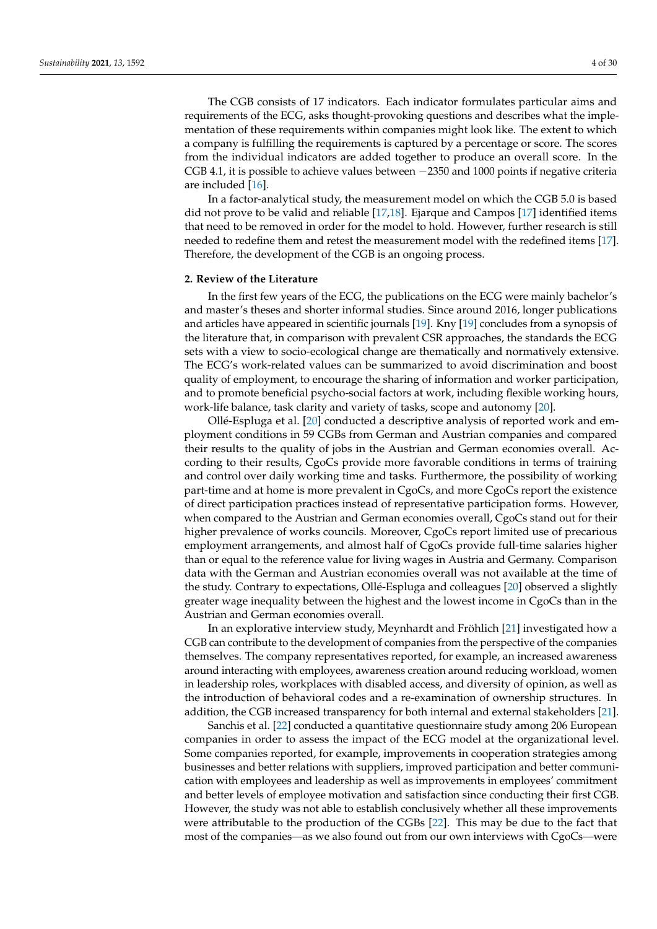The CGB consists of 17 indicators. Each indicator formulates particular aims and requirements of the ECG, asks thought-provoking questions and describes what the implementation of these requirements within companies might look like. The extent to which a company is fulfilling the requirements is captured by a percentage or score. The scores from the individual indicators are added together to produce an overall score. In the CGB 4.1, it is possible to achieve values between −2350 and 1000 points if negative criteria are included [\[16\]](#page-27-14).

In a factor-analytical study, the measurement model on which the CGB 5.0 is based did not prove to be valid and reliable [\[17](#page-27-15)[,18\]](#page-27-16). Ejarque and Campos [\[17\]](#page-27-15) identified items that need to be removed in order for the model to hold. However, further research is still needed to redefine them and retest the measurement model with the redefined items [\[17\]](#page-27-15). Therefore, the development of the CGB is an ongoing process.

#### **2. Review of the Literature**

In the first few years of the ECG, the publications on the ECG were mainly bachelor's and master's theses and shorter informal studies. Since around 2016, longer publications and articles have appeared in scientific journals [\[19\]](#page-27-17). Kny [\[19\]](#page-27-17) concludes from a synopsis of the literature that, in comparison with prevalent CSR approaches, the standards the ECG sets with a view to socio-ecological change are thematically and normatively extensive. The ECG's work-related values can be summarized to avoid discrimination and boost quality of employment, to encourage the sharing of information and worker participation, and to promote beneficial psycho-social factors at work, including flexible working hours, work-life balance, task clarity and variety of tasks, scope and autonomy [\[20\]](#page-27-18).

Ollé-Espluga et al. [\[20\]](#page-27-18) conducted a descriptive analysis of reported work and employment conditions in 59 CGBs from German and Austrian companies and compared their results to the quality of jobs in the Austrian and German economies overall. According to their results, CgoCs provide more favorable conditions in terms of training and control over daily working time and tasks. Furthermore, the possibility of working part-time and at home is more prevalent in CgoCs, and more CgoCs report the existence of direct participation practices instead of representative participation forms. However, when compared to the Austrian and German economies overall, CgoCs stand out for their higher prevalence of works councils. Moreover, CgoCs report limited use of precarious employment arrangements, and almost half of CgoCs provide full-time salaries higher than or equal to the reference value for living wages in Austria and Germany. Comparison data with the German and Austrian economies overall was not available at the time of the study. Contrary to expectations, Ollé-Espluga and colleagues [\[20\]](#page-27-18) observed a slightly greater wage inequality between the highest and the lowest income in CgoCs than in the Austrian and German economies overall.

In an explorative interview study, Meynhardt and Fröhlich [\[21\]](#page-27-19) investigated how a CGB can contribute to the development of companies from the perspective of the companies themselves. The company representatives reported, for example, an increased awareness around interacting with employees, awareness creation around reducing workload, women in leadership roles, workplaces with disabled access, and diversity of opinion, as well as the introduction of behavioral codes and a re-examination of ownership structures. In addition, the CGB increased transparency for both internal and external stakeholders [\[21\]](#page-27-19).

Sanchis et al. [\[22\]](#page-27-20) conducted a quantitative questionnaire study among 206 European companies in order to assess the impact of the ECG model at the organizational level. Some companies reported, for example, improvements in cooperation strategies among businesses and better relations with suppliers, improved participation and better communication with employees and leadership as well as improvements in employees' commitment and better levels of employee motivation and satisfaction since conducting their first CGB. However, the study was not able to establish conclusively whether all these improvements were attributable to the production of the CGBs [\[22\]](#page-27-20). This may be due to the fact that most of the companies—as we also found out from our own interviews with CgoCs—were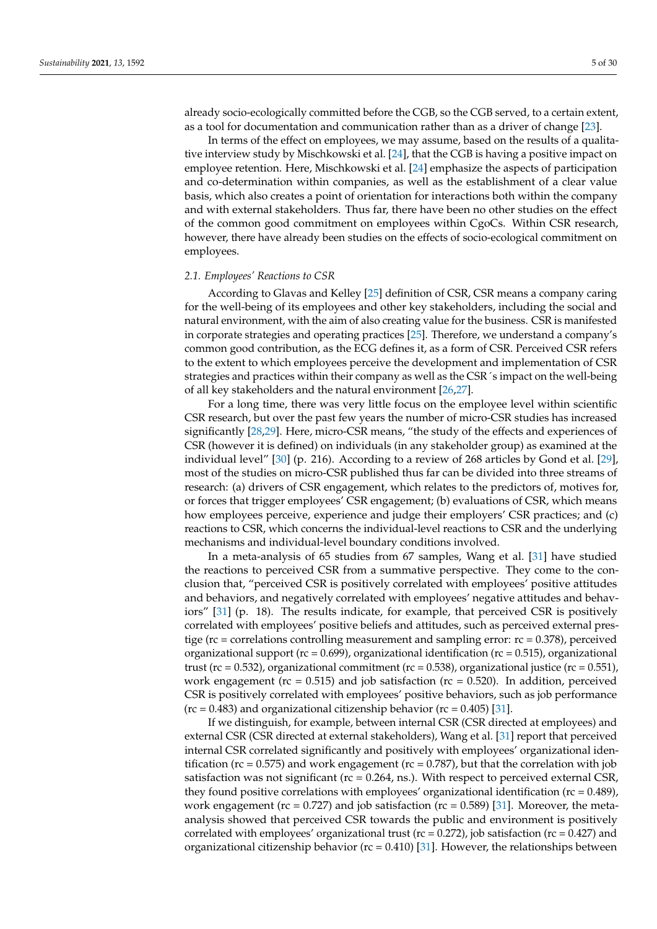already socio-ecologically committed before the CGB, so the CGB served, to a certain extent, as a tool for documentation and communication rather than as a driver of change [\[23\]](#page-27-21).

In terms of the effect on employees, we may assume, based on the results of a qualitative interview study by Mischkowski et al. [\[24\]](#page-27-22), that the CGB is having a positive impact on employee retention. Here, Mischkowski et al. [\[24\]](#page-27-22) emphasize the aspects of participation and co-determination within companies, as well as the establishment of a clear value basis, which also creates a point of orientation for interactions both within the company and with external stakeholders. Thus far, there have been no other studies on the effect of the common good commitment on employees within CgoCs. Within CSR research, however, there have already been studies on the effects of socio-ecological commitment on employees.

#### *2.1. Employees' Reactions to CSR*

According to Glavas and Kelley [\[25\]](#page-27-23) definition of CSR, CSR means a company caring for the well-being of its employees and other key stakeholders, including the social and natural environment, with the aim of also creating value for the business. CSR is manifested in corporate strategies and operating practices [\[25\]](#page-27-23). Therefore, we understand a company's common good contribution, as the ECG defines it, as a form of CSR. Perceived CSR refers to the extent to which employees perceive the development and implementation of CSR strategies and practices within their company as well as the CSR´s impact on the well-being of all key stakeholders and the natural environment [\[26,](#page-27-24)[27\]](#page-28-0).

For a long time, there was very little focus on the employee level within scientific CSR research, but over the past few years the number of micro-CSR studies has increased significantly [\[28,](#page-28-1)[29\]](#page-28-2). Here, micro-CSR means, "the study of the effects and experiences of CSR (however it is defined) on individuals (in any stakeholder group) as examined at the individual level" [\[30\]](#page-28-3) (p. 216). According to a review of 268 articles by Gond et al. [\[29\]](#page-28-2), most of the studies on micro-CSR published thus far can be divided into three streams of research: (a) drivers of CSR engagement, which relates to the predictors of, motives for, or forces that trigger employees' CSR engagement; (b) evaluations of CSR, which means how employees perceive, experience and judge their employers' CSR practices; and (c) reactions to CSR, which concerns the individual-level reactions to CSR and the underlying mechanisms and individual-level boundary conditions involved.

In a meta-analysis of 65 studies from 67 samples, Wang et al. [\[31\]](#page-28-4) have studied the reactions to perceived CSR from a summative perspective. They come to the conclusion that, "perceived CSR is positively correlated with employees' positive attitudes and behaviors, and negatively correlated with employees' negative attitudes and behaviors" [\[31\]](#page-28-4) (p. 18). The results indicate, for example, that perceived CSR is positively correlated with employees' positive beliefs and attitudes, such as perceived external prestige ( $rc =$  correlations controlling measurement and sampling error:  $rc = 0.378$ ), perceived organizational support ( $rc = 0.699$ ), organizational identification ( $rc = 0.515$ ), organizational trust ( $rc = 0.532$ ), organizational commitment ( $rc = 0.538$ ), organizational justice ( $rc = 0.551$ ), work engagement ( $rc = 0.515$ ) and job satisfaction ( $rc = 0.520$ ). In addition, perceived CSR is positively correlated with employees' positive behaviors, such as job performance  $(rc = 0.483)$  and organizational citizenship behavior  $(rc = 0.405)$  [\[31\]](#page-28-4).

If we distinguish, for example, between internal CSR (CSR directed at employees) and external CSR (CSR directed at external stakeholders), Wang et al. [\[31\]](#page-28-4) report that perceived internal CSR correlated significantly and positively with employees' organizational identification ( $rc = 0.575$ ) and work engagement ( $rc = 0.787$ ), but that the correlation with job satisfaction was not significant ( $rc = 0.264$ , ns.). With respect to perceived external CSR, they found positive correlations with employees' organizational identification ( $rc = 0.489$ ), work engagement ( $rc = 0.727$ ) and job satisfaction ( $rc = 0.589$ ) [\[31\]](#page-28-4). Moreover, the metaanalysis showed that perceived CSR towards the public and environment is positively correlated with employees' organizational trust ( $rc = 0.272$ ), job satisfaction ( $rc = 0.427$ ) and organizational citizenship behavior ( $rc = 0.410$ ) [\[31\]](#page-28-4). However, the relationships between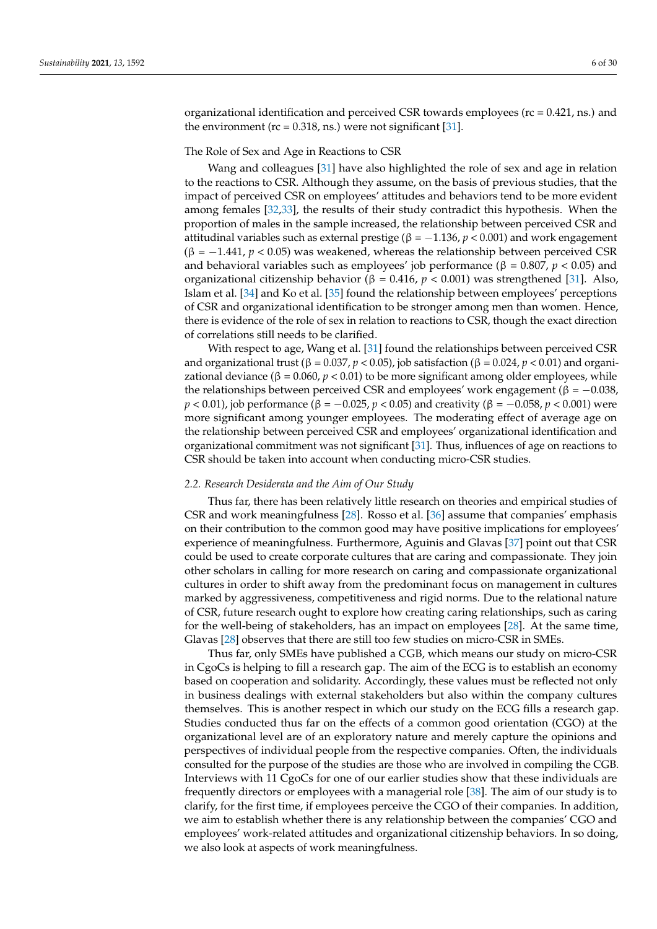organizational identification and perceived CSR towards employees ( $rc = 0.421$ , ns.) and the environment ( $rc = 0.318$ , ns.) were not significant [\[31\]](#page-28-4).

### The Role of Sex and Age in Reactions to CSR

Wang and colleagues [\[31\]](#page-28-4) have also highlighted the role of sex and age in relation to the reactions to CSR. Although they assume, on the basis of previous studies, that the impact of perceived CSR on employees' attitudes and behaviors tend to be more evident among females [\[32,](#page-28-5)[33\]](#page-28-6), the results of their study contradict this hypothesis. When the proportion of males in the sample increased, the relationship between perceived CSR and attitudinal variables such as external prestige ( $β = -1.136$ ,  $p < 0.001$ ) and work engagement  $(\beta = -1.441, p < 0.05)$  was weakened, whereas the relationship between perceived CSR and behavioral variables such as employees' job performance ( $β = 0.807$ ,  $p < 0.05$ ) and organizational citizenship behavior (β = 0.416, *p* < 0.001) was strengthened [\[31\]](#page-28-4). Also, Islam et al. [\[34\]](#page-28-7) and Ko et al. [\[35\]](#page-28-8) found the relationship between employees' perceptions of CSR and organizational identification to be stronger among men than women. Hence, there is evidence of the role of sex in relation to reactions to CSR, though the exact direction of correlations still needs to be clarified.

With respect to age, Wang et al. [\[31\]](#page-28-4) found the relationships between perceived CSR and organizational trust (β = 0.037, *p* < 0.05), job satisfaction (β = 0.024, *p* < 0.01) and organizational deviance ( $β = 0.060, p < 0.01$ ) to be more significant among older employees, while the relationships between perceived CSR and employees' work engagement (β =  $-0.038$ , *p* < 0.01), job performance (β = -0.025, *p* < 0.05) and creativity (β = -0.058, *p* < 0.001) were more significant among younger employees. The moderating effect of average age on the relationship between perceived CSR and employees' organizational identification and organizational commitment was not significant [\[31\]](#page-28-4). Thus, influences of age on reactions to CSR should be taken into account when conducting micro-CSR studies.

#### *2.2. Research Desiderata and the Aim of Our Study*

Thus far, there has been relatively little research on theories and empirical studies of CSR and work meaningfulness [\[28\]](#page-28-1). Rosso et al. [\[36\]](#page-28-9) assume that companies' emphasis on their contribution to the common good may have positive implications for employees' experience of meaningfulness. Furthermore, Aguinis and Glavas [\[37\]](#page-28-10) point out that CSR could be used to create corporate cultures that are caring and compassionate. They join other scholars in calling for more research on caring and compassionate organizational cultures in order to shift away from the predominant focus on management in cultures marked by aggressiveness, competitiveness and rigid norms. Due to the relational nature of CSR, future research ought to explore how creating caring relationships, such as caring for the well-being of stakeholders, has an impact on employees [\[28\]](#page-28-1). At the same time, Glavas [\[28\]](#page-28-1) observes that there are still too few studies on micro-CSR in SMEs.

Thus far, only SMEs have published a CGB, which means our study on micro-CSR in CgoCs is helping to fill a research gap. The aim of the ECG is to establish an economy based on cooperation and solidarity. Accordingly, these values must be reflected not only in business dealings with external stakeholders but also within the company cultures themselves. This is another respect in which our study on the ECG fills a research gap. Studies conducted thus far on the effects of a common good orientation (CGO) at the organizational level are of an exploratory nature and merely capture the opinions and perspectives of individual people from the respective companies. Often, the individuals consulted for the purpose of the studies are those who are involved in compiling the CGB. Interviews with 11 CgoCs for one of our earlier studies show that these individuals are frequently directors or employees with a managerial role [\[38\]](#page-28-11). The aim of our study is to clarify, for the first time, if employees perceive the CGO of their companies. In addition, we aim to establish whether there is any relationship between the companies' CGO and employees' work-related attitudes and organizational citizenship behaviors. In so doing, we also look at aspects of work meaningfulness.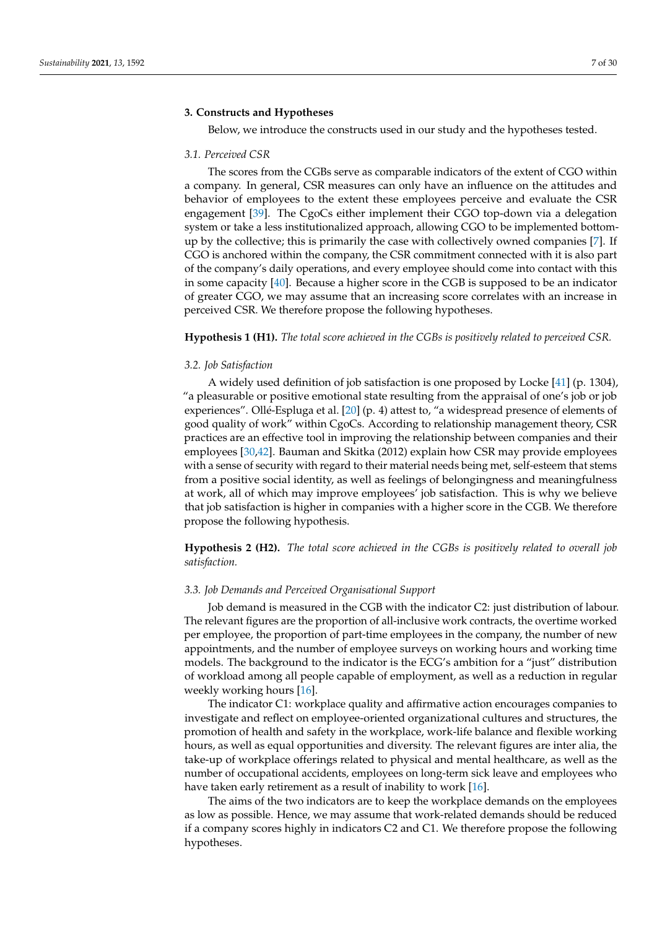### **3. Constructs and Hypotheses**

Below, we introduce the constructs used in our study and the hypotheses tested.

### *3.1. Perceived CSR*

The scores from the CGBs serve as comparable indicators of the extent of CGO within a company. In general, CSR measures can only have an influence on the attitudes and behavior of employees to the extent these employees perceive and evaluate the CSR engagement [\[39\]](#page-28-12). The CgoCs either implement their CGO top-down via a delegation system or take a less institutionalized approach, allowing CGO to be implemented bottomup by the collective; this is primarily the case with collectively owned companies [\[7\]](#page-27-4). If CGO is anchored within the company, the CSR commitment connected with it is also part of the company's daily operations, and every employee should come into contact with this in some capacity [\[40\]](#page-28-13). Because a higher score in the CGB is supposed to be an indicator of greater CGO, we may assume that an increasing score correlates with an increase in perceived CSR. We therefore propose the following hypotheses.

#### **Hypothesis 1 (H1).** *The total score achieved in the CGBs is positively related to perceived CSR.*

#### *3.2. Job Satisfaction*

A widely used definition of job satisfaction is one proposed by Locke [\[41\]](#page-28-14) (p. 1304), "a pleasurable or positive emotional state resulting from the appraisal of one's job or job experiences". Ollé-Espluga et al. [\[20\]](#page-27-18) (p. 4) attest to, "a widespread presence of elements of good quality of work" within CgoCs. According to relationship management theory, CSR practices are an effective tool in improving the relationship between companies and their employees [\[30,](#page-28-3)[42\]](#page-28-15). Bauman and Skitka (2012) explain how CSR may provide employees with a sense of security with regard to their material needs being met, self-esteem that stems from a positive social identity, as well as feelings of belongingness and meaningfulness at work, all of which may improve employees' job satisfaction. This is why we believe that job satisfaction is higher in companies with a higher score in the CGB. We therefore propose the following hypothesis.

**Hypothesis 2 (H2).** *The total score achieved in the CGBs is positively related to overall job satisfaction.*

#### *3.3. Job Demands and Perceived Organisational Support*

Job demand is measured in the CGB with the indicator C2: just distribution of labour. The relevant figures are the proportion of all-inclusive work contracts, the overtime worked per employee, the proportion of part-time employees in the company, the number of new appointments, and the number of employee surveys on working hours and working time models. The background to the indicator is the ECG's ambition for a "just" distribution of workload among all people capable of employment, as well as a reduction in regular weekly working hours [\[16\]](#page-27-14).

The indicator C1: workplace quality and affirmative action encourages companies to investigate and reflect on employee-oriented organizational cultures and structures, the promotion of health and safety in the workplace, work-life balance and flexible working hours, as well as equal opportunities and diversity. The relevant figures are inter alia, the take-up of workplace offerings related to physical and mental healthcare, as well as the number of occupational accidents, employees on long-term sick leave and employees who have taken early retirement as a result of inability to work [\[16\]](#page-27-14).

The aims of the two indicators are to keep the workplace demands on the employees as low as possible. Hence, we may assume that work-related demands should be reduced if a company scores highly in indicators C2 and C1. We therefore propose the following hypotheses.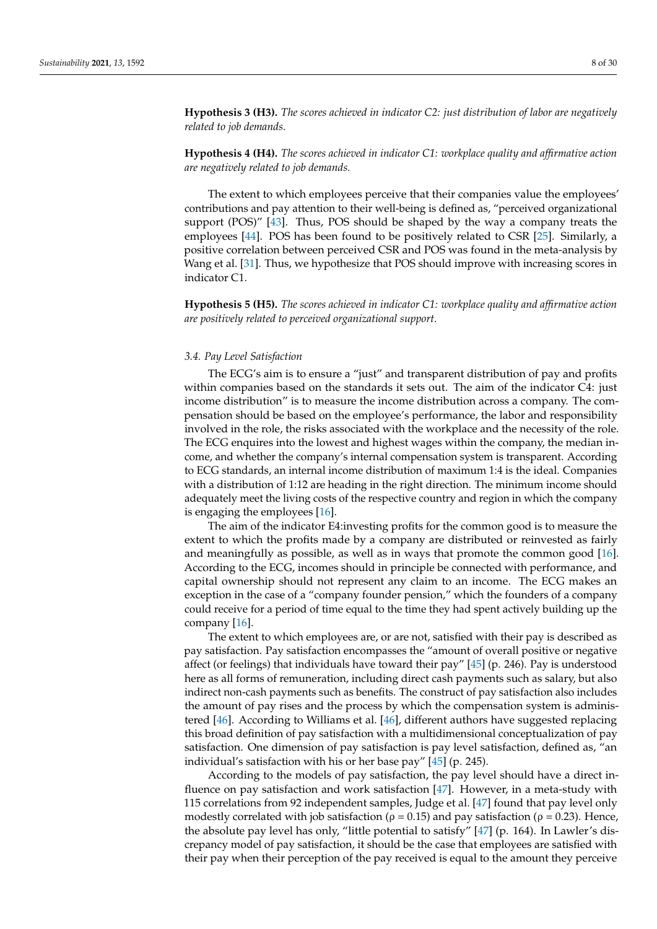**Hypothesis 3 (H3).** *The scores achieved in indicator C2: just distribution of labor are negatively related to job demands.*

**Hypothesis 4 (H4).** *The scores achieved in indicator C1: workplace quality and affirmative action are negatively related to job demands.*

The extent to which employees perceive that their companies value the employees' contributions and pay attention to their well-being is defined as, "perceived organizational support (POS)" [\[43\]](#page-28-16). Thus, POS should be shaped by the way a company treats the employees [\[44\]](#page-28-17). POS has been found to be positively related to CSR [\[25\]](#page-27-23). Similarly, a positive correlation between perceived CSR and POS was found in the meta-analysis by Wang et al. [\[31\]](#page-28-4). Thus, we hypothesize that POS should improve with increasing scores in indicator C1.

**Hypothesis 5 (H5).** *The scores achieved in indicator C1: workplace quality and affirmative action are positively related to perceived organizational support.*

### *3.4. Pay Level Satisfaction*

The ECG's aim is to ensure a "just" and transparent distribution of pay and profits within companies based on the standards it sets out. The aim of the indicator C4: just income distribution" is to measure the income distribution across a company. The compensation should be based on the employee's performance, the labor and responsibility involved in the role, the risks associated with the workplace and the necessity of the role. The ECG enquires into the lowest and highest wages within the company, the median income, and whether the company's internal compensation system is transparent. According to ECG standards, an internal income distribution of maximum 1:4 is the ideal. Companies with a distribution of 1:12 are heading in the right direction. The minimum income should adequately meet the living costs of the respective country and region in which the company is engaging the employees [\[16\]](#page-27-14).

The aim of the indicator E4:investing profits for the common good is to measure the extent to which the profits made by a company are distributed or reinvested as fairly and meaningfully as possible, as well as in ways that promote the common good [\[16\]](#page-27-14). According to the ECG, incomes should in principle be connected with performance, and capital ownership should not represent any claim to an income. The ECG makes an exception in the case of a "company founder pension," which the founders of a company could receive for a period of time equal to the time they had spent actively building up the company [\[16\]](#page-27-14).

The extent to which employees are, or are not, satisfied with their pay is described as pay satisfaction. Pay satisfaction encompasses the "amount of overall positive or negative affect (or feelings) that individuals have toward their pay" [\[45\]](#page-28-18) (p. 246). Pay is understood here as all forms of remuneration, including direct cash payments such as salary, but also indirect non-cash payments such as benefits. The construct of pay satisfaction also includes the amount of pay rises and the process by which the compensation system is administered [\[46\]](#page-28-19). According to Williams et al. [\[46\]](#page-28-19), different authors have suggested replacing this broad definition of pay satisfaction with a multidimensional conceptualization of pay satisfaction. One dimension of pay satisfaction is pay level satisfaction, defined as, "an individual's satisfaction with his or her base pay" [\[45\]](#page-28-18) (p. 245).

According to the models of pay satisfaction, the pay level should have a direct influence on pay satisfaction and work satisfaction [\[47\]](#page-28-20). However, in a meta-study with 115 correlations from 92 independent samples, Judge et al. [\[47\]](#page-28-20) found that pay level only modestly correlated with job satisfaction ( $\rho = 0.15$ ) and pay satisfaction ( $\rho = 0.23$ ). Hence, the absolute pay level has only, "little potential to satisfy" [\[47\]](#page-28-20) (p. 164). In Lawler's discrepancy model of pay satisfaction, it should be the case that employees are satisfied with their pay when their perception of the pay received is equal to the amount they perceive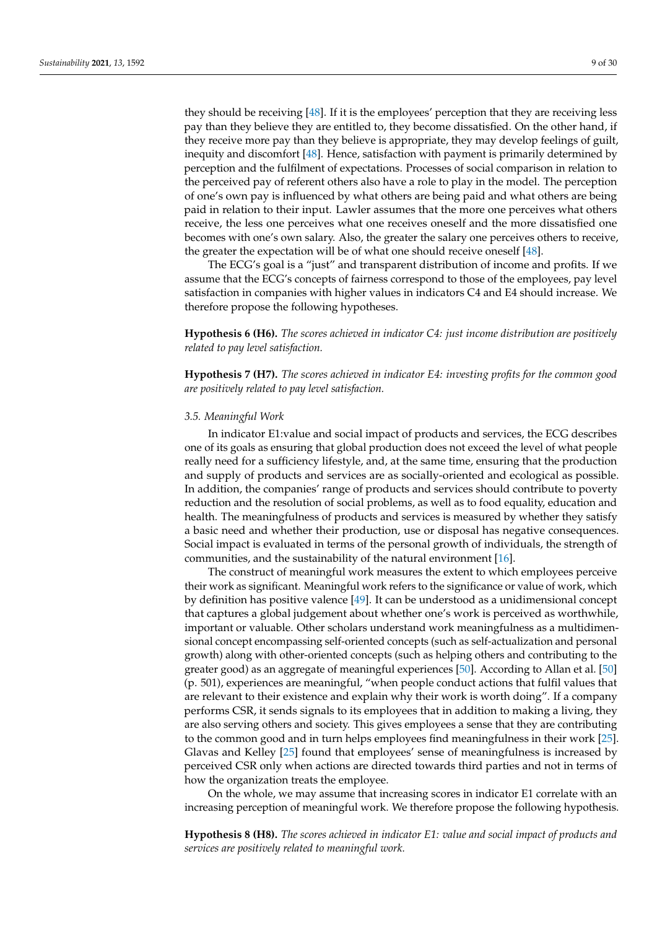they should be receiving [\[48\]](#page-28-21). If it is the employees' perception that they are receiving less pay than they believe they are entitled to, they become dissatisfied. On the other hand, if they receive more pay than they believe is appropriate, they may develop feelings of guilt, inequity and discomfort [\[48\]](#page-28-21). Hence, satisfaction with payment is primarily determined by perception and the fulfilment of expectations. Processes of social comparison in relation to the perceived pay of referent others also have a role to play in the model. The perception of one's own pay is influenced by what others are being paid and what others are being paid in relation to their input. Lawler assumes that the more one perceives what others receive, the less one perceives what one receives oneself and the more dissatisfied one becomes with one's own salary. Also, the greater the salary one perceives others to receive, the greater the expectation will be of what one should receive oneself [\[48\]](#page-28-21).

The ECG's goal is a "just" and transparent distribution of income and profits. If we assume that the ECG's concepts of fairness correspond to those of the employees, pay level satisfaction in companies with higher values in indicators C4 and E4 should increase. We therefore propose the following hypotheses.

**Hypothesis 6 (H6).** *The scores achieved in indicator C4: just income distribution are positively related to pay level satisfaction.*

**Hypothesis 7 (H7).** *The scores achieved in indicator E4: investing profits for the common good are positively related to pay level satisfaction.*

#### *3.5. Meaningful Work*

In indicator E1:value and social impact of products and services, the ECG describes one of its goals as ensuring that global production does not exceed the level of what people really need for a sufficiency lifestyle, and, at the same time, ensuring that the production and supply of products and services are as socially-oriented and ecological as possible. In addition, the companies' range of products and services should contribute to poverty reduction and the resolution of social problems, as well as to food equality, education and health. The meaningfulness of products and services is measured by whether they satisfy a basic need and whether their production, use or disposal has negative consequences. Social impact is evaluated in terms of the personal growth of individuals, the strength of communities, and the sustainability of the natural environment [\[16\]](#page-27-14).

The construct of meaningful work measures the extent to which employees perceive their work as significant. Meaningful work refers to the significance or value of work, which by definition has positive valence [\[49\]](#page-28-22). It can be understood as a unidimensional concept that captures a global judgement about whether one's work is perceived as worthwhile, important or valuable. Other scholars understand work meaningfulness as a multidimensional concept encompassing self-oriented concepts (such as self-actualization and personal growth) along with other-oriented concepts (such as helping others and contributing to the greater good) as an aggregate of meaningful experiences [\[50\]](#page-28-23). According to Allan et al. [\[50\]](#page-28-23) (p. 501), experiences are meaningful, "when people conduct actions that fulfil values that are relevant to their existence and explain why their work is worth doing". If a company performs CSR, it sends signals to its employees that in addition to making a living, they are also serving others and society. This gives employees a sense that they are contributing to the common good and in turn helps employees find meaningfulness in their work [\[25\]](#page-27-23). Glavas and Kelley [\[25\]](#page-27-23) found that employees' sense of meaningfulness is increased by perceived CSR only when actions are directed towards third parties and not in terms of how the organization treats the employee.

On the whole, we may assume that increasing scores in indicator E1 correlate with an increasing perception of meaningful work. We therefore propose the following hypothesis.

**Hypothesis 8 (H8).** *The scores achieved in indicator E1: value and social impact of products and services are positively related to meaningful work.*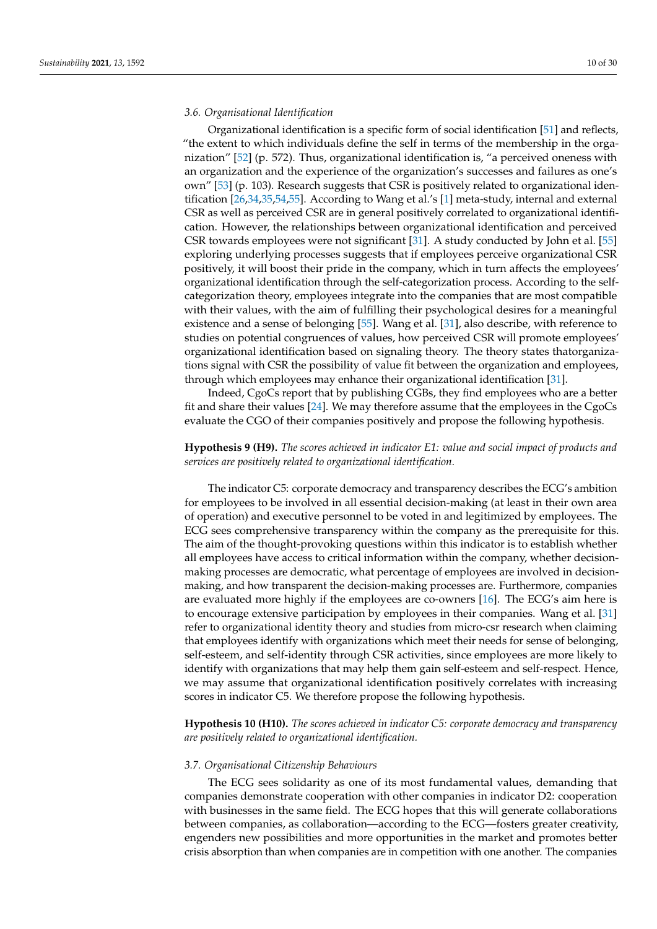#### *3.6. Organisational Identification*

Organizational identification is a specific form of social identification [\[51\]](#page-28-24) and reflects, "the extent to which individuals define the self in terms of the membership in the organization" [\[52\]](#page-28-25) (p. 572). Thus, organizational identification is, "a perceived oneness with an organization and the experience of the organization's successes and failures as one's own" [\[53\]](#page-28-26) (p. 103). Research suggests that CSR is positively related to organizational identification [\[26,](#page-27-24)[34,](#page-28-7)[35](#page-28-8)[,54](#page-28-27)[,55\]](#page-28-28). According to Wang et al.'s [\[1\]](#page-26-0) meta-study, internal and external CSR as well as perceived CSR are in general positively correlated to organizational identification. However, the relationships between organizational identification and perceived CSR towards employees were not significant [\[31\]](#page-28-4). A study conducted by John et al. [\[55\]](#page-28-28) exploring underlying processes suggests that if employees perceive organizational CSR positively, it will boost their pride in the company, which in turn affects the employees' organizational identification through the self-categorization process. According to the selfcategorization theory, employees integrate into the companies that are most compatible with their values, with the aim of fulfilling their psychological desires for a meaningful existence and a sense of belonging [\[55\]](#page-28-28). Wang et al. [\[31\]](#page-28-4), also describe, with reference to studies on potential congruences of values, how perceived CSR will promote employees' organizational identification based on signaling theory. The theory states thatorganizations signal with CSR the possibility of value fit between the organization and employees, through which employees may enhance their organizational identification [\[31\]](#page-28-4).

Indeed, CgoCs report that by publishing CGBs, they find employees who are a better fit and share their values [\[24\]](#page-27-22). We may therefore assume that the employees in the CgoCs evaluate the CGO of their companies positively and propose the following hypothesis.

# **Hypothesis 9 (H9).** *The scores achieved in indicator E1: value and social impact of products and services are positively related to organizational identification.*

The indicator C5: corporate democracy and transparency describes the ECG's ambition for employees to be involved in all essential decision-making (at least in their own area of operation) and executive personnel to be voted in and legitimized by employees. The ECG sees comprehensive transparency within the company as the prerequisite for this. The aim of the thought-provoking questions within this indicator is to establish whether all employees have access to critical information within the company, whether decisionmaking processes are democratic, what percentage of employees are involved in decisionmaking, and how transparent the decision-making processes are. Furthermore, companies are evaluated more highly if the employees are co-owners [\[16\]](#page-27-14). The ECG's aim here is to encourage extensive participation by employees in their companies. Wang et al. [\[31\]](#page-28-4) refer to organizational identity theory and studies from micro-csr research when claiming that employees identify with organizations which meet their needs for sense of belonging, self-esteem, and self-identity through CSR activities, since employees are more likely to identify with organizations that may help them gain self-esteem and self-respect. Hence, we may assume that organizational identification positively correlates with increasing scores in indicator C5. We therefore propose the following hypothesis.

**Hypothesis 10 (H10).** *The scores achieved in indicator C5: corporate democracy and transparency are positively related to organizational identification.*

### *3.7. Organisational Citizenship Behaviours*

The ECG sees solidarity as one of its most fundamental values, demanding that companies demonstrate cooperation with other companies in indicator D2: cooperation with businesses in the same field. The ECG hopes that this will generate collaborations between companies, as collaboration—according to the ECG—fosters greater creativity, engenders new possibilities and more opportunities in the market and promotes better crisis absorption than when companies are in competition with one another. The companies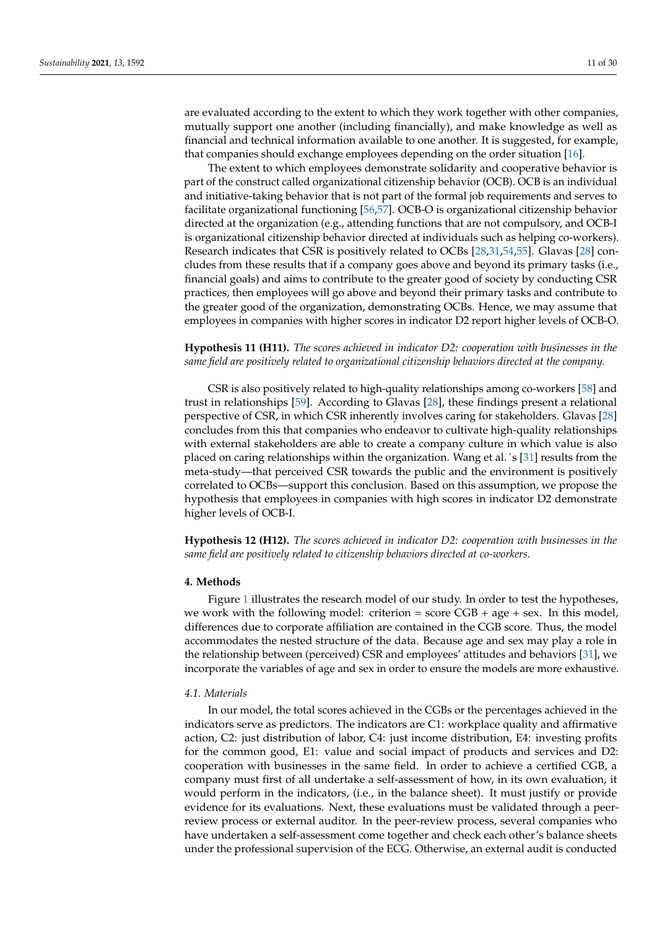are evaluated according to the extent to which they work together with other companies, mutually support one another (including financially), and make knowledge as well as financial and technical information available to one another. It is suggested, for example, that companies should exchange employees depending on the order situation [\[16\]](#page-27-14).

The extent to which employees demonstrate solidarity and cooperative behavior is part of the construct called organizational citizenship behavior (OCB). OCB is an individual and initiative-taking behavior that is not part of the formal job requirements and serves to facilitate organizational functioning [\[56,](#page-29-0)[57\]](#page-29-1). OCB-O is organizational citizenship behavior directed at the organization (e.g., attending functions that are not compulsory, and OCB-I is organizational citizenship behavior directed at individuals such as helping co-workers). Research indicates that CSR is positively related to OCBs [\[28,](#page-28-1)[31,](#page-28-4)[54,](#page-28-27)[55\]](#page-28-28). Glavas [\[28\]](#page-28-1) concludes from these results that if a company goes above and beyond its primary tasks (i.e., financial goals) and aims to contribute to the greater good of society by conducting CSR practices, then employees will go above and beyond their primary tasks and contribute to the greater good of the organization, demonstrating OCBs. Hence, we may assume that employees in companies with higher scores in indicator D2 report higher levels of OCB-O.

# **Hypothesis 11 (H11).** *The scores achieved in indicator D2: cooperation with businesses in the same field are positively related to organizational citizenship behaviors directed at the company.*

CSR is also positively related to high-quality relationships among co-workers [\[58\]](#page-29-2) and trust in relationships [\[59\]](#page-29-3). According to Glavas [\[28\]](#page-28-1), these findings present a relational perspective of CSR, in which CSR inherently involves caring for stakeholders. Glavas [\[28\]](#page-28-1) concludes from this that companies who endeavor to cultivate high-quality relationships with external stakeholders are able to create a company culture in which value is also placed on caring relationships within the organization. Wang et al.´s [\[31\]](#page-28-4) results from the meta-study—that perceived CSR towards the public and the environment is positively correlated to OCBs—support this conclusion. Based on this assumption, we propose the hypothesis that employees in companies with high scores in indicator D2 demonstrate higher levels of OCB-I.

**Hypothesis 12 (H12).** *The scores achieved in indicator D2: cooperation with businesses in the same field are positively related to citizenship behaviors directed at co-workers.*

#### **4. Methods**

Figure [1](#page-11-0) illustrates the research model of our study. In order to test the hypotheses, we work with the following model: criterion = score  $CGB + age + sex$ . In this model, differences due to corporate affiliation are contained in the CGB score. Thus, the model accommodates the nested structure of the data. Because age and sex may play a role in the relationship between (perceived) CSR and employees' attitudes and behaviors [\[31\]](#page-28-4), we incorporate the variables of age and sex in order to ensure the models are more exhaustive.

### *4.1. Materials*

In our model, the total scores achieved in the CGBs or the percentages achieved in the indicators serve as predictors. The indicators are C1: workplace quality and affirmative action, C2: just distribution of labor, C4: just income distribution, E4: investing profits for the common good, E1: value and social impact of products and services and D2: cooperation with businesses in the same field. In order to achieve a certified CGB, a company must first of all undertake a self-assessment of how, in its own evaluation, it would perform in the indicators, (i.e., in the balance sheet). It must justify or provide evidence for its evaluations. Next, these evaluations must be validated through a peerreview process or external auditor. In the peer-review process, several companies who have undertaken a self-assessment come together and check each other's balance sheets under the professional supervision of the ECG. Otherwise, an external audit is conducted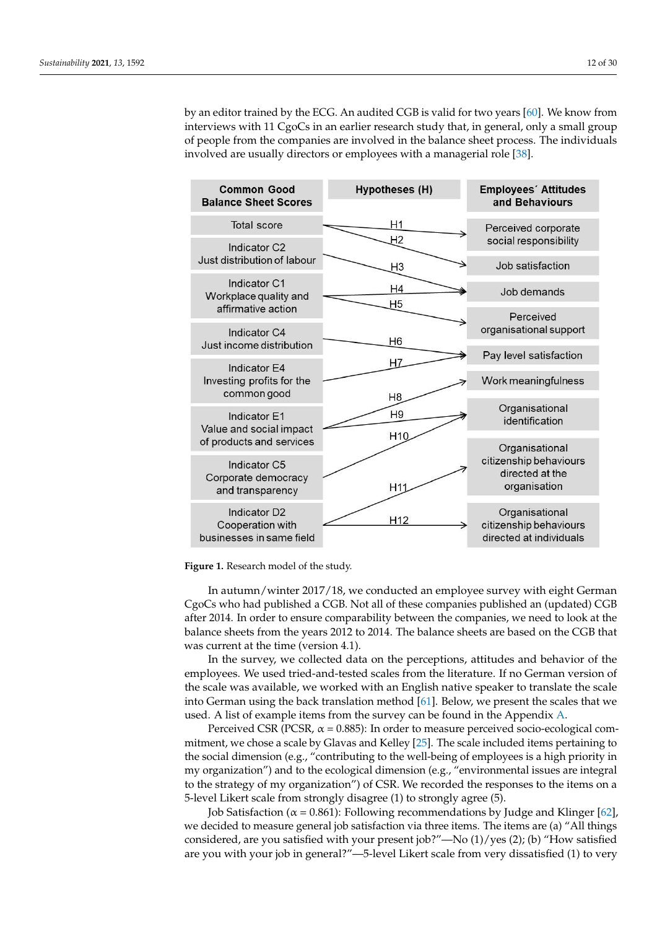by an editor trained by the ECG. An audited CGB is valid for two years [\[60\]](#page-29-4). We know from interviews with 11 CgoCs in an earlier research study that, in general, only a small group of people from the companies are involved in the balance sheet process. The individuals in the managerial role or employees with a managerial role of the managerial role of the managerial role of the managerial role of the involved are usually directors or employees with a managerial role [\[38\]](#page-28-11). [38]. conducted by an editor trained by the ECG. An audit editor two years  $\frac{1}{2}$  $y$  an early trained by the ECG. An addition CGD is valid for two years [ov]. We know from

who have undertaken a self-assessment come to gether and check each other and check each other balance each ot

<span id="page-11-0"></span>

| <b>Common Good</b><br><b>Balance Sheet Scores</b>                        | <b>Hypotheses (H)</b> | <b>Employees' Attitudes</b><br>and Behaviours                       |
|--------------------------------------------------------------------------|-----------------------|---------------------------------------------------------------------|
| <b>Total score</b>                                                       | Η1                    | Perceived corporate                                                 |
| Indicator C <sub>2</sub>                                                 | Η2                    | social responsibility                                               |
| Just distribution of labour                                              | H <sub>3</sub>        | Job satisfaction                                                    |
| Indicator C1<br>Workplace quality and<br>affirmative action              | H4<br>H5              | Job demands                                                         |
| Indicator C4                                                             |                       | Perceived<br>organisational support                                 |
| Just income distribution                                                 | H <sub>6</sub>        | Pay level satisfaction                                              |
| Indicator E4<br>Investing profits for the<br>common good                 | H7<br>H <sub>8</sub>  | Work meaningfulness                                                 |
| Indicator F1<br>Value and social impact                                  | H <sub>9</sub>        | Organisational<br>identification                                    |
| of products and services                                                 | H <sub>10</sub>       | Organisational                                                      |
| Indicator C5<br>Corporate democracy<br>and transparency                  | H11                   | citizenship behaviours<br>directed at the<br>organisation           |
| Indicator D <sub>2</sub><br>Cooperation with<br>businesses in same field | H <sub>12</sub>       | Organisational<br>citizenship behaviours<br>directed at individuals |

**Figure 1.** Research model of the study. **Figure 1.** Research model of the study.

In autumn/winter 2017/18, we conducted an employee survey with eight German In autumn/winter 2017/18, we conducted an employee survey with eight German CgoCs who had published a CGB. Not all of these companies published an (updated) CgoCs who had published a CGB. Not all of these companies published an (updated) CGB after 2014. In order to ensure comparability between the companies, we need to look at the balance sheets from the years 2012 to 2014. The balance sheets are based on the CGB that was current at the time (version 4.1).

In the survey, we collected data on the perceptions, attitudes and behavior of the employees. We used tried-and-tested scales from the literature. If no German version of the scale was available, we worked with an English native speaker to translate the scale into German using the back translation method [\[61\]](#page-29-5). Below, we present the scales that we used. A list of example items from the survey can be found in the Appendix [A.](#page-26-1)

Perceived CSR (PCSR,  $\alpha$  = 0.885): In order to measure perceived socio-ecological commitment, we chose a scale by Glavas and Kelley [\[25\]](#page-27-23). The scale included items pertaining to the social dimension (e.g., "contributing to the well-being of employees is a high priority in my organization") and to the ecological dimension (e.g., "environmental issues are integral to the strategy of my organization") of CSR. We recorded the responses to the items on a 5-level Likert scale from strongly disagree (1) to strongly agree (5).

Job Satisfaction ( $\alpha = 0.861$ ): Following recommendations by Judge and Klinger [\[62\]](#page-29-6), we decided to measure general job satisfaction via three items. The items are (a) "All things considered, are you satisfied with your present job?"—No (1)/yes (2); (b) "How satisfied are you with your job in general?"—5-level Likert scale from very dissatisfied (1) to very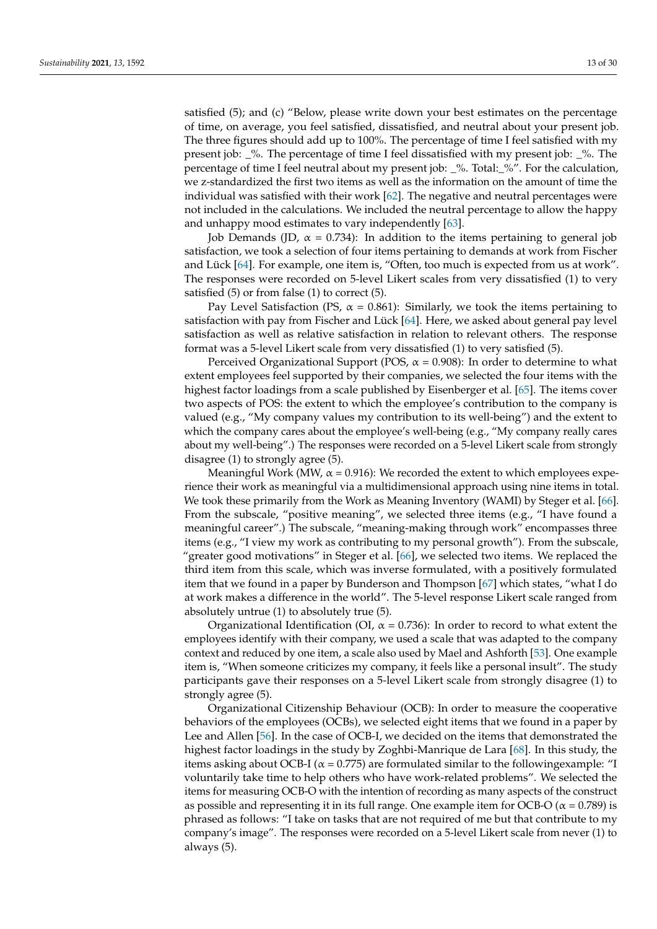satisfied (5); and (c) "Below, please write down your best estimates on the percentage of time, on average, you feel satisfied, dissatisfied, and neutral about your present job. The three figures should add up to 100%. The percentage of time I feel satisfied with my present job:  $\%$ . The percentage of time I feel dissatisfied with my present job:  $\%$ . The percentage of time I feel neutral about my present job: \_%. Total:\_%". For the calculation, we z-standardized the first two items as well as the information on the amount of time the individual was satisfied with their work [\[62\]](#page-29-6). The negative and neutral percentages were not included in the calculations. We included the neutral percentage to allow the happy and unhappy mood estimates to vary independently [\[63\]](#page-29-7).

Job Demands (JD,  $\alpha = 0.734$ ): In addition to the items pertaining to general job satisfaction, we took a selection of four items pertaining to demands at work from Fischer and Lück [\[64\]](#page-29-8). For example, one item is, "Often, too much is expected from us at work". The responses were recorded on 5-level Likert scales from very dissatisfied (1) to very satisfied  $(5)$  or from false  $(1)$  to correct  $(5)$ .

Pay Level Satisfaction (PS,  $\alpha$  = 0.861): Similarly, we took the items pertaining to satisfaction with pay from Fischer and Lück [\[64\]](#page-29-8). Here, we asked about general pay level satisfaction as well as relative satisfaction in relation to relevant others. The response format was a 5-level Likert scale from very dissatisfied (1) to very satisfied (5).

Perceived Organizational Support (POS,  $\alpha$  = 0.908): In order to determine to what extent employees feel supported by their companies, we selected the four items with the highest factor loadings from a scale published by Eisenberger et al. [\[65\]](#page-29-9). The items cover two aspects of POS: the extent to which the employee's contribution to the company is valued (e.g., "My company values my contribution to its well-being") and the extent to which the company cares about the employee's well-being (e.g., "My company really cares about my well-being".) The responses were recorded on a 5-level Likert scale from strongly disagree (1) to strongly agree (5).

Meaningful Work (MW,  $\alpha$  = 0.916): We recorded the extent to which employees experience their work as meaningful via a multidimensional approach using nine items in total. We took these primarily from the Work as Meaning Inventory (WAMI) by Steger et al. [\[66\]](#page-29-10). From the subscale, "positive meaning", we selected three items (e.g., "I have found a meaningful career".) The subscale, "meaning-making through work" encompasses three items (e.g., "I view my work as contributing to my personal growth"). From the subscale, "greater good motivations" in Steger et al. [\[66\]](#page-29-10), we selected two items. We replaced the third item from this scale, which was inverse formulated, with a positively formulated item that we found in a paper by Bunderson and Thompson [\[67\]](#page-29-11) which states, "what I do at work makes a difference in the world". The 5-level response Likert scale ranged from absolutely untrue (1) to absolutely true (5).

Organizational Identification (OI,  $\alpha = 0.736$ ): In order to record to what extent the employees identify with their company, we used a scale that was adapted to the company context and reduced by one item, a scale also used by Mael and Ashforth [\[53\]](#page-28-26). One example item is, "When someone criticizes my company, it feels like a personal insult". The study participants gave their responses on a 5-level Likert scale from strongly disagree (1) to strongly agree (5).

Organizational Citizenship Behaviour (OCB): In order to measure the cooperative behaviors of the employees (OCBs), we selected eight items that we found in a paper by Lee and Allen [\[56\]](#page-29-0). In the case of OCB-I, we decided on the items that demonstrated the highest factor loadings in the study by Zoghbi-Manrique de Lara [\[68\]](#page-29-12). In this study, the items asking about OCB-I ( $\alpha$  = 0.775) are formulated similar to the following example: "I voluntarily take time to help others who have work-related problems". We selected the items for measuring OCB-O with the intention of recording as many aspects of the construct as possible and representing it in its full range. One example item for OCB-O ( $\alpha$  = 0.789) is phrased as follows: "I take on tasks that are not required of me but that contribute to my company's image". The responses were recorded on a 5-level Likert scale from never (1) to always (5).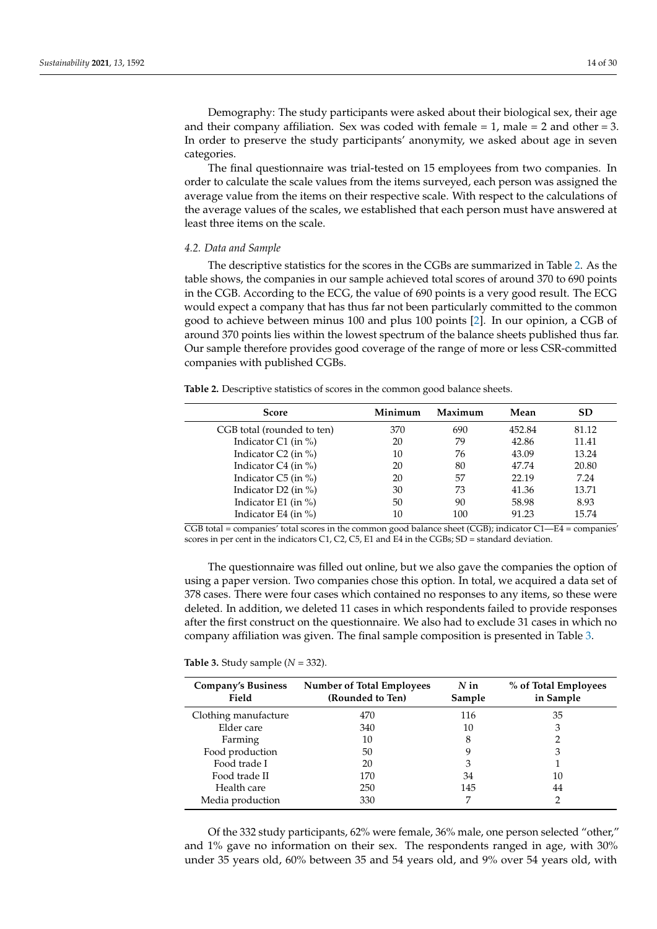Demography: The study participants were asked about their biological sex, their age and their company affiliation. Sex was coded with female  $= 1$ , male  $= 2$  and other  $= 3$ . In order to preserve the study participants' anonymity, we asked about age in seven categories.

The final questionnaire was trial-tested on 15 employees from two companies. In order to calculate the scale values from the items surveyed, each person was assigned the average value from the items on their respective scale. With respect to the calculations of the average values of the scales, we established that each person must have answered at least three items on the scale.

# *4.2. Data and Sample*

The descriptive statistics for the scores in the CGBs are summarized in Table [2.](#page-13-0) As the table shows, the companies in our sample achieved total scores of around 370 to 690 points in the CGB. According to the ECG, the value of 690 points is a very good result. The ECG would expect a company that has thus far not been particularly committed to the common good to achieve between minus 100 and plus 100 points [\[2\]](#page-27-0). In our opinion, a CGB of around 370 points lies within the lowest spectrum of the balance sheets published thus far. Our sample therefore provides good coverage of the range of more or less CSR-committed companies with published CGBs.

<span id="page-13-0"></span>**Table 2.** Descriptive statistics of scores in the common good balance sheets.

| <b>Score</b>               | Minimum | Maximum | Mean   | <b>SD</b> |
|----------------------------|---------|---------|--------|-----------|
| CGB total (rounded to ten) | 370     | 690     | 452.84 | 81.12     |
| Indicator $C1$ (in %)      | 20      | 79      | 42.86  | 11.41     |
| Indicator $C2$ (in %)      | 10      | 76      | 43.09  | 13.24     |
| Indicator $C4$ (in %)      | 20      | 80      | 47.74  | 20.80     |
| Indicator $C5$ (in %)      | 20      | 57      | 22.19  | 7.24      |
| Indicator D2 (in $\%$ )    | 30      | 73      | 41.36  | 13.71     |
| Indicator E1 (in $\%$ )    | 50      | 90      | 58.98  | 8.93      |
| Indicator E4 (in $\%$ )    | 10      | 100     | 91.23  | 15.74     |

 $\overline{CGB}$  total = companies' total scores in the common good balance sheet (CGB); indicator C1—E4 = companies' scores in per cent in the indicators C1, C2, C5, E1 and E4 in the CGBs; SD = standard deviation.

The questionnaire was filled out online, but we also gave the companies the option of using a paper version. Two companies chose this option. In total, we acquired a data set of 378 cases. There were four cases which contained no responses to any items, so these were deleted. In addition, we deleted 11 cases in which respondents failed to provide responses after the first construct on the questionnaire. We also had to exclude 31 cases in which no company affiliation was given. The final sample composition is presented in Table [3.](#page-13-1)

<span id="page-13-1"></span>**Table 3.** Study sample (*N* = 332).

| <b>Company's Business</b><br>Field | <b>Number of Total Employees</b><br>(Rounded to Ten) | $N$ in<br>Sample | % of Total Employees<br>in Sample |
|------------------------------------|------------------------------------------------------|------------------|-----------------------------------|
| Clothing manufacture               | 470                                                  | 116              | 35                                |
| Elder care                         | 340                                                  | 10               | З                                 |
| Farming                            | 10                                                   | 8                |                                   |
| Food production                    | 50                                                   |                  | 3                                 |
| Food trade I                       | 20                                                   | З                |                                   |
| Food trade II                      | 170                                                  | 34               | 10                                |
| Health care                        | 250                                                  | 145              | 44                                |
| Media production                   | 330                                                  |                  |                                   |

Of the 332 study participants, 62% were female, 36% male, one person selected "other," and 1% gave no information on their sex. The respondents ranged in age, with 30% under 35 years old, 60% between 35 and 54 years old, and 9% over 54 years old, with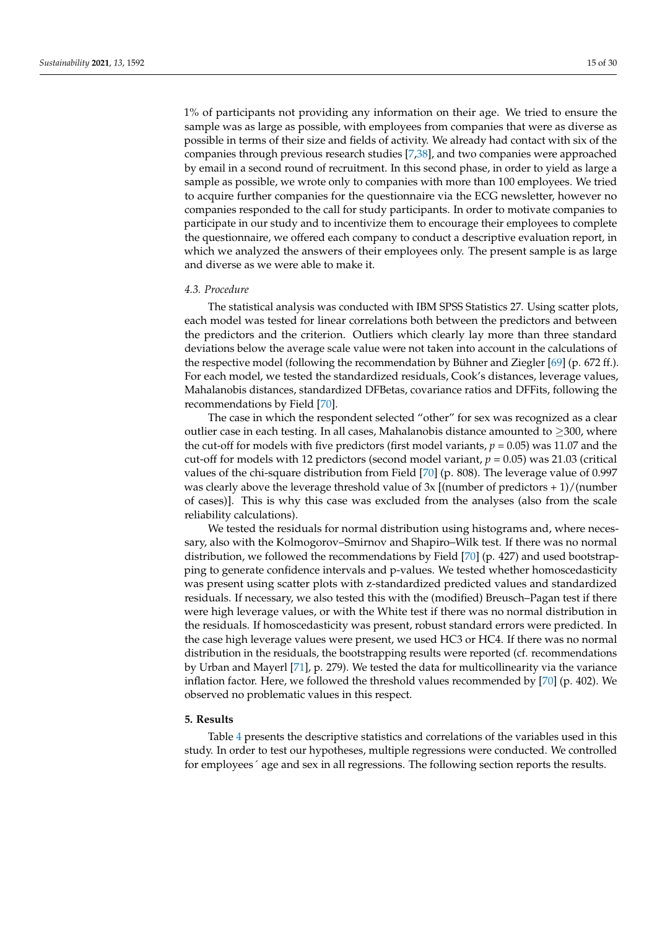1% of participants not providing any information on their age. We tried to ensure the sample was as large as possible, with employees from companies that were as diverse as possible in terms of their size and fields of activity. We already had contact with six of the companies through previous research studies [\[7](#page-27-4)[,38\]](#page-28-11), and two companies were approached by email in a second round of recruitment. In this second phase, in order to yield as large a sample as possible, we wrote only to companies with more than 100 employees. We tried to acquire further companies for the questionnaire via the ECG newsletter, however no companies responded to the call for study participants. In order to motivate companies to participate in our study and to incentivize them to encourage their employees to complete the questionnaire, we offered each company to conduct a descriptive evaluation report, in which we analyzed the answers of their employees only. The present sample is as large and diverse as we were able to make it.

### *4.3. Procedure*

The statistical analysis was conducted with IBM SPSS Statistics 27. Using scatter plots, each model was tested for linear correlations both between the predictors and between the predictors and the criterion. Outliers which clearly lay more than three standard deviations below the average scale value were not taken into account in the calculations of the respective model (following the recommendation by Bühner and Ziegler [\[69\]](#page-29-13) (p. 672 ff.). For each model, we tested the standardized residuals, Cook's distances, leverage values, Mahalanobis distances, standardized DFBetas, covariance ratios and DFFits, following the recommendations by Field [\[70\]](#page-29-14).

The case in which the respondent selected "other" for sex was recognized as a clear outlier case in each testing. In all cases, Mahalanobis distance amounted to  $\geq$ 300, where the cut-off for models with five predictors (first model variants, *p* = 0.05) was 11.07 and the cut-off for models with 12 predictors (second model variant, *p* = 0.05) was 21.03 (critical values of the chi-square distribution from Field [\[70\]](#page-29-14) (p. 808). The leverage value of 0.997 was clearly above the leverage threshold value of  $3x$  [(number of predictors + 1)/(number of cases)]. This is why this case was excluded from the analyses (also from the scale reliability calculations).

We tested the residuals for normal distribution using histograms and, where necessary, also with the Kolmogorov–Smirnov and Shapiro–Wilk test. If there was no normal distribution, we followed the recommendations by Field [\[70\]](#page-29-14) (p. 427) and used bootstrapping to generate confidence intervals and p-values. We tested whether homoscedasticity was present using scatter plots with z-standardized predicted values and standardized residuals. If necessary, we also tested this with the (modified) Breusch–Pagan test if there were high leverage values, or with the White test if there was no normal distribution in the residuals. If homoscedasticity was present, robust standard errors were predicted. In the case high leverage values were present, we used HC3 or HC4. If there was no normal distribution in the residuals, the bootstrapping results were reported (cf. recommendations by Urban and Mayerl [\[71\]](#page-29-15), p. 279). We tested the data for multicollinearity via the variance inflation factor. Here, we followed the threshold values recommended by [\[70\]](#page-29-14) (p. 402). We observed no problematic values in this respect.

### **5. Results**

Table [4](#page-15-0) presents the descriptive statistics and correlations of the variables used in this study. In order to test our hypotheses, multiple regressions were conducted. We controlled for employees´ age and sex in all regressions. The following section reports the results.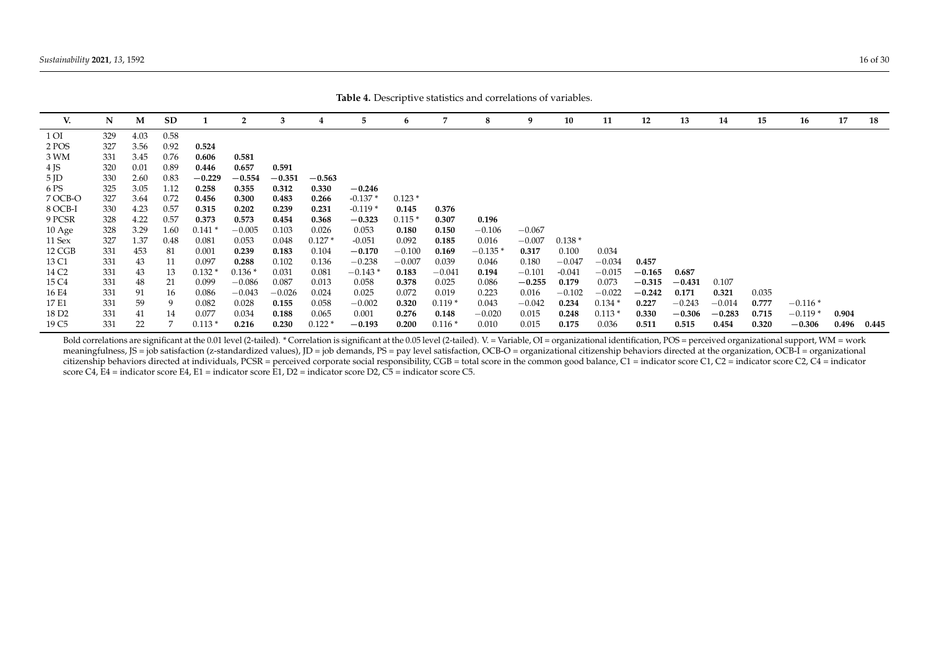| V.                | N   | M    | <b>SD</b> |          | $\overline{2}$ | 3        |          | 5         | 6        | 7        | 8        | 9        | 10       | 11       | 12       | 13       | 14       | 15    | 16        | 17    | 18    |
|-------------------|-----|------|-----------|----------|----------------|----------|----------|-----------|----------|----------|----------|----------|----------|----------|----------|----------|----------|-------|-----------|-------|-------|
| 1 OI              | 329 | 4.03 | 0.58      |          |                |          |          |           |          |          |          |          |          |          |          |          |          |       |           |       |       |
| 2 POS             | 327 | 3.56 | 0.92      | 0.524    |                |          |          |           |          |          |          |          |          |          |          |          |          |       |           |       |       |
| 3 WM              | 331 | 3.45 | 0.76      | 0.606    | 0.581          |          |          |           |          |          |          |          |          |          |          |          |          |       |           |       |       |
| 4 JS              | 320 | 0.01 | 0.89      | 0.446    | 0.657          | 0.591    |          |           |          |          |          |          |          |          |          |          |          |       |           |       |       |
| $5$ JD            | 330 | 2.60 | 0.83      | $-0.229$ | $-0.554$       | $-0.351$ | $-0.563$ |           |          |          |          |          |          |          |          |          |          |       |           |       |       |
| 6 PS              | 325 | 3.05 | 1.12      | 0.258    | 0.355          | 0.312    | 0.330    | $-0.246$  |          |          |          |          |          |          |          |          |          |       |           |       |       |
| 7 OCB-O           | 327 | 3.64 | 0.72      | 0.456    | 0.300          | 0.483    | 0.266    | $-0.137*$ | $0.123*$ |          |          |          |          |          |          |          |          |       |           |       |       |
| 8 OCB-I           | 330 | 4.23 | 0.57      | 0.315    | 0.202          | 0.239    | 0.231    | $-0.119*$ | 0.145    | 0.376    |          |          |          |          |          |          |          |       |           |       |       |
| 9 PCSR            | 328 | 4.22 | 0.57      | 0.373    | 0.573          | 0.454    | 0.368    | $-0.323$  | $0.115*$ | 0.307    | 0.196    |          |          |          |          |          |          |       |           |       |       |
| 10 Age            | 328 | 3.29 | 1.60      | $0.141*$ | $-0.005$       | 0.103    | 0.026    | 0.053     | 0.180    | 0.150    | $-0.106$ | $-0.067$ |          |          |          |          |          |       |           |       |       |
| 11 Sex            | 327 | 1.37 | 0.48      | 0.081    | 0.053          | 0.048    | $0.127*$ | $-0.051$  | 0.092    | 0.185    | 0.016    | $-0.007$ | $0.138*$ |          |          |          |          |       |           |       |       |
| 12 CGB            | 331 | 453  | -81       | 0.001    | 0.239          | 0.183    | 0.104    | $-0.170$  | $-0.100$ | 0.169    | $-0.135$ | 0.317    | 0.100    | 0.034    |          |          |          |       |           |       |       |
| 13 C1             | 331 | 43   | 11        | 0.097    | 0.288          | 0.102    | 0.136    | $-0.238$  | $-0.007$ | 0.039    | 0.046    | 0.180    | $-0.047$ | $-0.034$ | 0.457    |          |          |       |           |       |       |
| 14 C <sub>2</sub> | 331 | 43   | 13        | $0.132*$ | $0.136*$       | 0.031    | 0.081    | $-0.143*$ | 0.183    | $-0.041$ | 0.194    | $-0.101$ | $-0.041$ | $-0.015$ | $-0.165$ | 0.687    |          |       |           |       |       |
| 15 C4             | 331 | 48   | 21        | 0.099    | $-0.086$       | 0.087    | 0.013    | 0.058     | 0.378    | 0.025    | 0.086    | $-0.255$ | 0.179    | 0.073    | $-0.315$ | $-0.431$ | 0.107    |       |           |       |       |
| 16 E4             | 331 | 91   | 16        | 0.086    | $-0.043$       | $-0.026$ | 0.024    | 0.025     | 0.072    | 0.019    | 0.223    | 0.016    | $-0.102$ | $-0.022$ | $-0.242$ | 0.171    | 0.321    | 0.035 |           |       |       |
| 17 E1             | 331 | 59   | 9         | 0.082    | 0.028          | 0.155    | 0.058    | $-0.002$  | 0.320    | $0.119*$ | 0.043    | $-0.042$ | 0.234    | $0.134*$ | 0.227    | $-0.243$ | $-0.014$ | 0.777 | $-0.116*$ |       |       |
| 18 D <sub>2</sub> | 331 | 41   | 14        | 0.077    | 0.034          | 0.188    | 0.065    | 0.001     | 0.276    | 0.148    | $-0.020$ | 0.015    | 0.248    | $0.113*$ | 0.330    | $-0.306$ | $-0.283$ | 0.715 | $-0.119*$ | 0.904 |       |
| 19 C5             | 331 | 22   |           | $0.113*$ | 0.216          | 0.230    | $0.122*$ | $-0.193$  | 0.200    | $0.116*$ | 0.010    | 0.015    | 0.175    | 0.036    | 0.511    | 0.515    | 0.454    | 0.320 | $-0.306$  | 0.496 | 0.445 |

**Table 4.** Descriptive statistics and correlations of variables.

<span id="page-15-0"></span>Bold correlations are significant at the 0.01 level (2-tailed). \* Correlation is significant at the 0.05 level (2-tailed). V. = Variable, OI = organizational identification, POS = perceived organizational support, WM = wor meaningfulness, JS = job satisfaction (z-standardized values), JD = job demands, PS = pay level satisfaction, OCB-O = organizational citizenship behaviors directed at the organization, OCB-I = organizational citizenship behaviors directed at individuals, PCSR = perceived corporate social responsibility, CGB = total score in the common good balance, C1 = indicator score C1, C2 = indicator score C2, C4 = indicator score C4, E4 = indicator score E4, E1 = indicator score E1, D2 = indicator score D2, C5 = indicator score C5.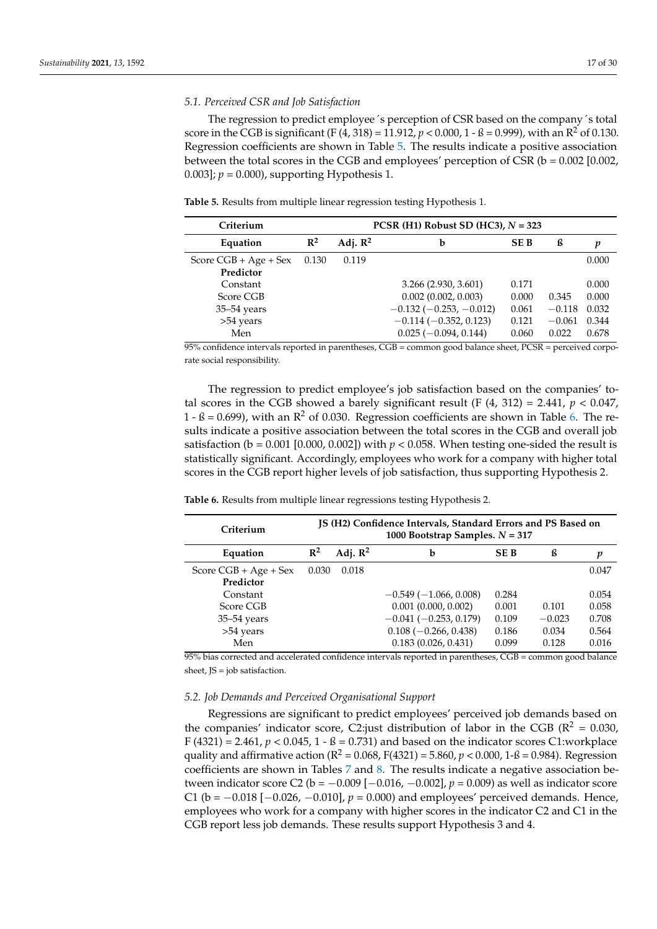### *5.1. Perceived CSR and Job Satisfaction*

The regression to predict employee´s perception of CSR based on the company´s total score in the CGB is significant (F (4, 318) = 11.912,  $p < 0.000$ , 1 - ß = 0.999), with an R<sup>2</sup> of 0.130. Regression coefficients are shown in Table [5.](#page-16-0) The results indicate a positive association between the total scores in the CGB and employees' perception of CSR (b = 0.002 [0.002, 0.003];  $p = 0.000$ , supporting Hypothesis 1.

<span id="page-16-0"></span>**Table 5.** Results from multiple linear regression testing Hypothesis 1.

| Criterium                                                    |       | PCSR (H1) Robust SD (HC3), $N = 323$ |                                                                                                                              |                                           |                                        |                                           |  |  |  |
|--------------------------------------------------------------|-------|--------------------------------------|------------------------------------------------------------------------------------------------------------------------------|-------------------------------------------|----------------------------------------|-------------------------------------------|--|--|--|
| Equation                                                     | $R^2$ | Adj. $\mathbb{R}^2$                  | b                                                                                                                            | <b>SEB</b>                                | ß                                      | p                                         |  |  |  |
| Score $CGB + Age + Sex$<br>Predictor                         | 0.130 | 0.119                                |                                                                                                                              |                                           |                                        | 0.000                                     |  |  |  |
| Constant<br>Score CGB<br>$35 - 54$ years<br>>54 years<br>Men |       |                                      | 3.266 (2.930, 3.601)<br>0.002(0.002, 0.003)<br>$-0.132(-0.253, -0.012)$<br>$-0.114(-0.352, 0.123)$<br>$0.025(-0.094, 0.144)$ | 0.171<br>0.000<br>0.061<br>0.121<br>0.060 | 0.345<br>$-0.118$<br>$-0.061$<br>0.022 | 0.000<br>0.000<br>0.032<br>0.344<br>0.678 |  |  |  |

95% confidence intervals reported in parentheses, CGB = common good balance sheet, PCSR = perceived corporate social responsibility.

The regression to predict employee's job satisfaction based on the companies' total scores in the CGB showed a barely significant result (F  $(4, 312) = 2.441$ ,  $p < 0.047$ ,  $1 - B = 0.699$ , with an  $R^2$  of 0.030. Regression coefficients are shown in Table [6.](#page-16-1) The results indicate a positive association between the total scores in the CGB and overall job satisfaction ( $b = 0.001$  [0.000, 0.002]) with  $p < 0.058$ . When testing one-sided the result is statistically significant. Accordingly, employees who work for a company with higher total scores in the CGB report higher levels of job satisfaction, thus supporting Hypothesis 2.

<span id="page-16-1"></span>**Table 6.** Results from multiple linear regressions testing Hypothesis 2.

| Criterium                                                    |       |                     | JS (H2) Confidence Intervals, Standard Errors and PS Based on<br>1000 Bootstrap Samples. $N = 317$                            |                                           |                                     |                                           |
|--------------------------------------------------------------|-------|---------------------|-------------------------------------------------------------------------------------------------------------------------------|-------------------------------------------|-------------------------------------|-------------------------------------------|
| Equation                                                     | $R^2$ | Adj. $\mathbb{R}^2$ | b                                                                                                                             | <b>SEB</b>                                | ß                                   | p                                         |
| Score $CGB + Age + Sex$<br>Predictor                         | 0.030 | 0.018               |                                                                                                                               |                                           |                                     | 0.047                                     |
| Constant<br>Score CGB<br>$35 - 54$ years<br>>54 years<br>Men |       |                     | $-0.549(-1.066, 0.008)$<br>$0.001$ (0.000, 0.002)<br>$-0.041(-0.253, 0.179)$<br>$0.108(-0.266, 0.438)$<br>0.183(0.026, 0.431) | 0.284<br>0.001<br>0.109<br>0.186<br>0.099 | 0.101<br>$-0.023$<br>0.034<br>0.128 | 0.054<br>0.058<br>0.708<br>0.564<br>0.016 |

95% bias corrected and accelerated confidence intervals reported in parentheses, CGB = common good balance sheet, JS = job satisfaction.

### *5.2. Job Demands and Perceived Organisational Support*

Regressions are significant to predict employees' perceived job demands based on the companies' indicator score, C2:just distribution of labor in the CGB ( $\mathbb{R}^2 = 0.030$ , F (4321) = 2.461,  $p < 0.045$ , 1 - ß = 0.731) and based on the indicator scores C1:workplace quality and affirmative action ( $R^2 = 0.068$ ,  $F(4321) = 5.860$ ,  $p < 0.000$ ,  $1-\beta = 0.984$ ). Regression coefficients are shown in Tables [7](#page-17-0) and [8.](#page-17-1) The results indicate a negative association between indicator score C2 ( $b = -0.009$  [ $-0.016$ ,  $-0.002$ ],  $p = 0.009$ ) as well as indicator score C1 (b = −0.018 [−0.026, −0.010], *p* = 0.000) and employees' perceived demands. Hence, employees who work for a company with higher scores in the indicator C2 and C1 in the CGB report less job demands. These results support Hypothesis 3 and 4.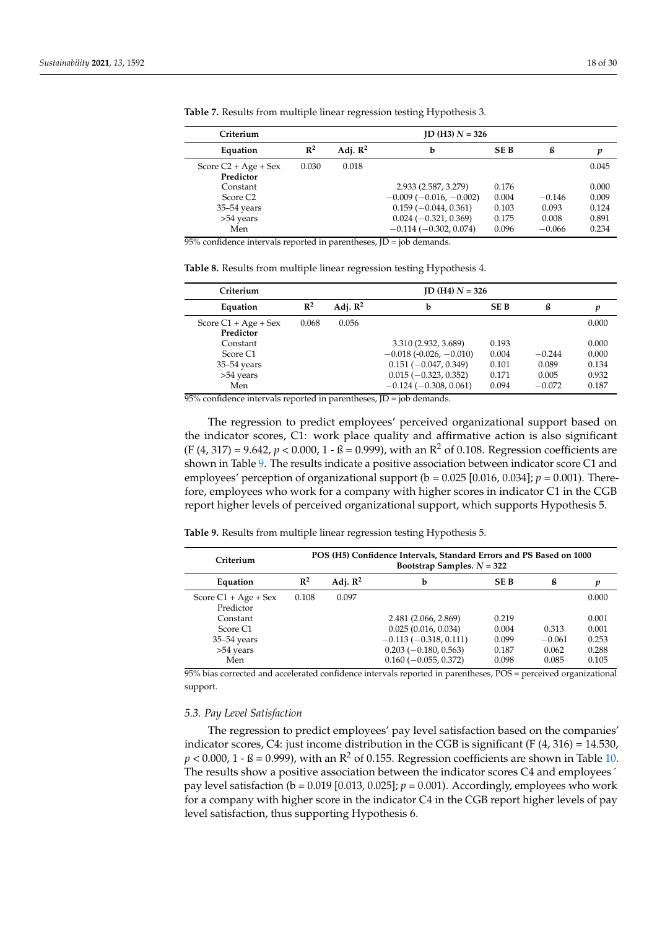$\overline{a}$  $\overline{a}$ 

| Criterium                           |                | $ID$ (H3) $N = 326$ |                         |            |          |       |  |  |
|-------------------------------------|----------------|---------------------|-------------------------|------------|----------|-------|--|--|
| Equation                            | $\mathbb{R}^2$ | Adj. $\mathbb{R}^2$ | b                       | <b>SEB</b> | ß        | p     |  |  |
| Score $C2 + Age + Sex$<br>Predictor | 0.030          | 0.018               |                         |            |          | 0.045 |  |  |
| Constant                            |                |                     | 2.933 (2.587, 3.279)    | 0.176      |          | 0.000 |  |  |
| Score C <sub>2</sub>                |                |                     | $-0.009(-0.016,-0.002)$ | 0.004      | $-0.146$ | 0.009 |  |  |
| $35-54$ years                       |                |                     | $0.159(-0.044, 0.361)$  | 0.103      | 0.093    | 0.124 |  |  |
| >54 years                           |                |                     | $0.024 (-0.321, 0.369)$ | 0.175      | 0.008    | 0.891 |  |  |
| Men                                 |                |                     | $-0.114(-0.302, 0.074)$ | 0.096      | $-0.066$ | 0.234 |  |  |

<span id="page-17-0"></span>**Table 7.** Results from multiple linear regression testing Hypothesis 3.

 $95%$  confidence intervals reported in parentheses,  $ID = job$  demands.

<span id="page-17-1"></span>

| Criterium                           |                |                     | $ID (H4) N = 326$                                  |                |                   |                |  |  |
|-------------------------------------|----------------|---------------------|----------------------------------------------------|----------------|-------------------|----------------|--|--|
| Equation                            | $\mathbb{R}^2$ | Adj. $\mathbb{R}^2$ | b                                                  | <b>SEB</b>     | ß                 | p              |  |  |
| Score $C1 + Age + Sex$<br>Predictor | 0.068          | 0.056               |                                                    |                |                   | 0.000          |  |  |
| Constant                            |                |                     | 3.310 (2.932, 3.689)                               | 0.193          |                   | 0.000          |  |  |
| Score C1<br>$35 - 54$ years         |                |                     | $-0.018(-0.026, -0.010)$<br>$0.151(-0.047, 0.349)$ | 0.004<br>0.101 | $-0.244$<br>0.089 | 0.000<br>0.134 |  |  |
| >54 years<br>Men                    |                |                     | $0.015 (-0.323, 0.352)$<br>$-0.124(-0.308, 0.061)$ | 0.171<br>0.094 | 0.005<br>$-0.072$ | 0.932<br>0.187 |  |  |
|                                     |                |                     |                                                    |                |                   |                |  |  |

95% confidence intervals reported in parentheses, JD = job demands.

The regression to predict employees' perceived organizational support based on the indicator scores, C1: work place quality and affirmative action is also significant  $(F (4, 317) = 9.642, p < 0.000, 1 - B = 0.999)$ , with an  $R^2$  of 0.108. Regression coefficients are shown in Table [9.](#page-17-2) The results indicate a positive association between indicator score C1 and employees' perception of organizational support ( $b = 0.025$  [0.016, 0.034];  $p = 0.001$ ). Therefore, employees who work for a company with higher scores in indicator C1 in the CGB report higher levels of perceived organizational support, which supports Hypothesis 5.

<span id="page-17-2"></span>**Table 9.** Results from multiple linear regression testing Hypothesis 5.

| Criterium                           |                |                     | POS (H5) Confidence Intervals, Standard Errors and PS Based on 1000<br>Bootstrap Samples. $N = 322$ |            |          |       |
|-------------------------------------|----------------|---------------------|-----------------------------------------------------------------------------------------------------|------------|----------|-------|
| Equation                            | $\mathbb{R}^2$ | Adj. $\mathbb{R}^2$ | b                                                                                                   | <b>SEB</b> | ß        | p     |
| Score $C1 + Age + Sex$<br>Predictor | 0.108          | 0.097               |                                                                                                     |            |          | 0.000 |
| Constant                            |                |                     | 2.481 (2.066, 2.869)                                                                                | 0.219      |          | 0.001 |
| Score C <sub>1</sub>                |                |                     | 0.025(0.016, 0.034)                                                                                 | 0.004      | 0.313    | 0.001 |
| $35-54$ years                       |                |                     | $-0.113(-0.318, 0.111)$                                                                             | 0.099      | $-0.061$ | 0.253 |
| >54 years                           |                |                     | $0.203(-0.180, 0.563)$                                                                              | 0.187      | 0.062    | 0.288 |
| Men                                 |                |                     | $0.160 (-0.055, 0.372)$                                                                             | 0.098      | 0.085    | 0.105 |

95% bias corrected and accelerated confidence intervals reported in parentheses, POS = perceived organizational support.

#### *5.3. Pay Level Satisfaction*

The regression to predict employees' pay level satisfaction based on the companies' indicator scores, C4: just income distribution in the CGB is significant (F  $(4, 316) = 14.530$ ,  $p < 0.000$ ,  $1 - B = 0.999$ ), with an  $R^2$  of 0.155. Regression coefficients are shown in Table [10.](#page-18-0) The results show a positive association between the indicator scores C4 and employees´ pay level satisfaction (b = 0.019 [0.013, 0.025]; *p* = 0.001). Accordingly, employees who work for a company with higher score in the indicator C4 in the CGB report higher levels of pay level satisfaction, thus supporting Hypothesis 6.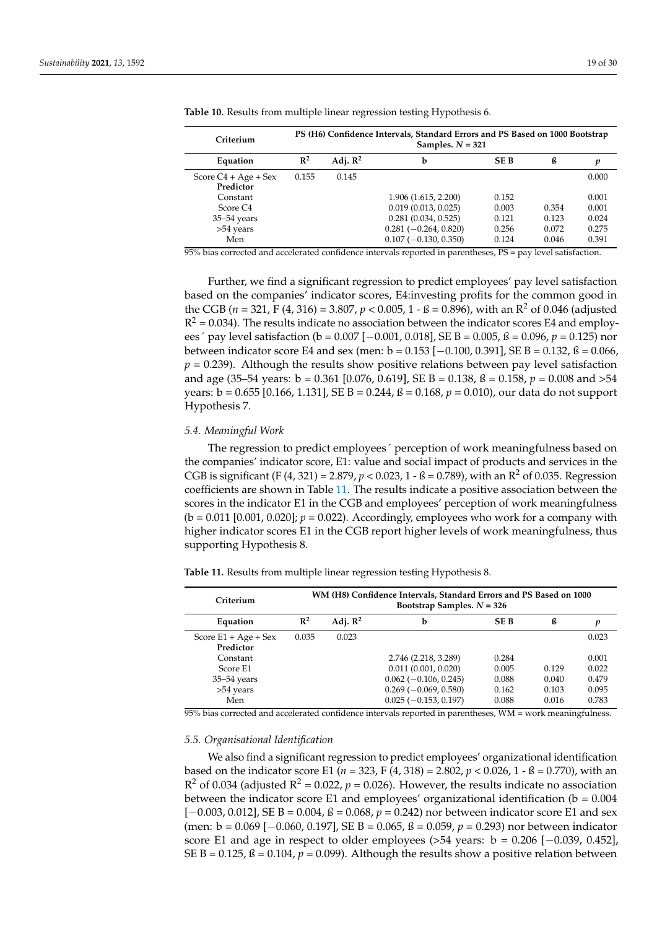| Criterium                           | PS (H6) Confidence Intervals, Standard Errors and PS Based on 1000 Bootstrap<br>Samples. $N = 321$ |                     |                         |            |       |       |
|-------------------------------------|----------------------------------------------------------------------------------------------------|---------------------|-------------------------|------------|-------|-------|
| Equation                            | $\mathbb{R}^2$                                                                                     | Adj. $\mathbb{R}^2$ | b                       | <b>SEB</b> | ß     | p     |
| Score $C4 + Age + Sex$<br>Predictor | 0.155                                                                                              | 0.145               |                         |            |       | 0.000 |
| Constant                            |                                                                                                    |                     | 1.906 (1.615, 2.200)    | 0.152      |       | 0.001 |
| Score C <sub>4</sub>                |                                                                                                    |                     | 0.019(0.013, 0.025)     | 0.003      | 0.354 | 0.001 |
| $35-54$ years                       |                                                                                                    |                     | 0.281(0.034, 0.525)     | 0.121      | 0.123 | 0.024 |
| >54 years                           |                                                                                                    |                     | $0.281(-0.264, 0.820)$  | 0.256      | 0.072 | 0.275 |
| Men                                 |                                                                                                    |                     | $0.107 (-0.130, 0.350)$ | 0.124      | 0.046 | 0.391 |

<span id="page-18-0"></span>**Table 10.** Results from multiple linear regression testing Hypothesis 6.

95% bias corrected and accelerated confidence intervals reported in parentheses, PS = pay level satisfaction.

Further, we find a significant regression to predict employees' pay level satisfaction based on the companies' indicator scores, E4:investing profits for the common good in the CGB ( $n = 321$ , F (4, 316) = 3.807,  $p < 0.005$ , 1 - ß = 0.896), with an R<sup>2</sup> of 0.046 (adjusted  $R^2$  = 0.034). The results indicate no association between the indicator scores E4 and employees´ pay level satisfaction (b = 0.007 [−0.001, 0.018], SE B = 0.005, ß = 0.096, *p* = 0.125) nor between indicator score E4 and sex (men: b =  $0.153$  [ $-0.100$ ,  $0.391$ ], SE B =  $0.132$ , ß =  $0.066$ ,  $p = 0.239$ ). Although the results show positive relations between pay level satisfaction and age (35–54 years: b = 0.361 [0.076, 0.619], SE B = 0.138, ß = 0.158, *p* = 0.008 and >54 years: b = 0.655 [0.166, 1.131], SE B = 0.244, ß = 0.168, *p* = 0.010), our data do not support Hypothesis 7.

#### *5.4. Meaningful Work*

The regression to predict employees´ perception of work meaningfulness based on the companies' indicator score, E1: value and social impact of products and services in the CGB is significant (F  $(4, 321) = 2.879$ ,  $p < 0.023$ ,  $1 - B = 0.789$ ), with an R<sup>2</sup> of 0.035. Regression coefficients are shown in Table [11.](#page-18-1) The results indicate a positive association between the scores in the indicator E1 in the CGB and employees' perception of work meaningfulness  $(b = 0.011 [0.001, 0.020]; p = 0.022)$ . Accordingly, employees who work for a company with higher indicator scores E1 in the CGB report higher levels of work meaningfulness, thus supporting Hypothesis 8.

<span id="page-18-1"></span>**Table 11.** Results from multiple linear regression testing Hypothesis 8.

| Criterium                           | WM (H8) Confidence Intervals, Standard Errors and PS Based on 1000<br>Bootstrap Samples. $N = 326$ |                     |                                |            |       |       |
|-------------------------------------|----------------------------------------------------------------------------------------------------|---------------------|--------------------------------|------------|-------|-------|
| Equation                            | $\mathbb{R}^2$                                                                                     | Adj. $\mathbb{R}^2$ | b                              | <b>SEB</b> | ß     | p     |
| Score $E1 + Age + Sex$<br>Predictor | 0.035                                                                                              | 0.023               |                                |            |       | 0.023 |
| Constant                            |                                                                                                    |                     | 2.746 (2.218, 3.289)           | 0.284      |       | 0.001 |
| Score E1                            |                                                                                                    |                     | 0.011(0.001, 0.020)            | 0.005      | 0.129 | 0.022 |
| $35 - 54$ years                     |                                                                                                    |                     | $0.062$ (-0.106, 0.245)        | 0.088      | 0.040 | 0.479 |
| >54 years                           |                                                                                                    |                     | $0.269$ ( $-0.069$ , $0.580$ ) | 0.162      | 0.103 | 0.095 |
| Men                                 |                                                                                                    |                     | $0.025(-0.153, 0.197)$         | 0.088      | 0.016 | 0.783 |

95% bias corrected and accelerated confidence intervals reported in parentheses, WM = work meaningfulness.

# *5.5. Organisational Identification*

We also find a significant regression to predict employees' organizational identification based on the indicator score E1 (*n* = 323, F (4, 318) = 2.802, *p* < 0.026, 1 - ß = 0.770), with an  $R^2$  of 0.034 (adjusted  $R^2$  = 0.022,  $p$  = 0.026). However, the results indicate no association between the indicator score E1 and employees' organizational identification ( $b = 0.004$ ) [−0.003, 0.012], SE B = 0.004, ß = 0.068, *p* = 0.242) nor between indicator score E1 and sex (men: b = 0.069 [−0.060, 0.197], SE B = 0.065, ß = 0.059, *p* = 0.293) nor between indicator score E1 and age in respect to older employees  $(>54$  years: b = 0.206 [ $-0.039$ , 0.452], SE B =  $0.125$ ,  $\beta$  =  $0.104$ ,  $p$  =  $0.099$ ). Although the results show a positive relation between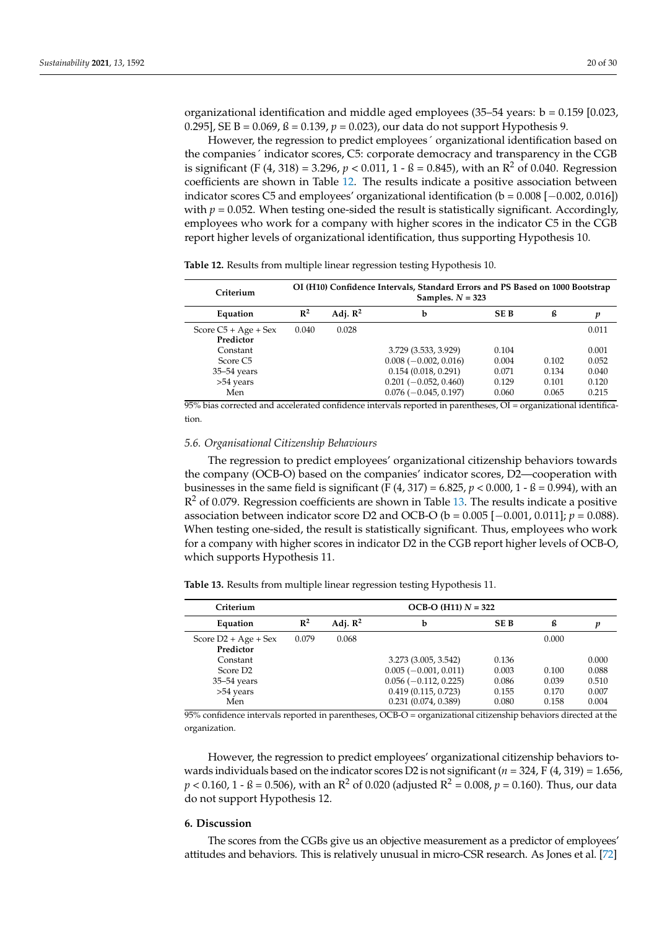organizational identification and middle aged employees (35–54 years:  $b = 0.159$  [0.023, 0.295], SE B = 0.069, ß = 0.139, *p* = 0.023), our data do not support Hypothesis 9.

However, the regression to predict employees´ organizational identification based on the companies´ indicator scores, C5: corporate democracy and transparency in the CGB is significant (F (4, 318) = 3.296,  $p < 0.011$ ,  $1 - B = 0.845$ ), with an R<sup>2</sup> of 0.040. Regression coefficients are shown in Table [12.](#page-19-0) The results indicate a positive association between indicator scores C5 and employees' organizational identification (b = 0.008 [−0.002, 0.016]) with  $p = 0.052$ . When testing one-sided the result is statistically significant. Accordingly, employees who work for a company with higher scores in the indicator C5 in the CGB report higher levels of organizational identification, thus supporting Hypothesis 10.

<span id="page-19-0"></span>

|  |  |  | Table 12. Results from multiple linear regression testing Hypothesis 10. |  |
|--|--|--|--------------------------------------------------------------------------|--|
|--|--|--|--------------------------------------------------------------------------|--|

| Criterium                           | OI (H10) Confidence Intervals, Standard Errors and PS Based on 1000 Bootstrap<br>Samples. $N = 323$ |                     |                                                   |                |                |                |
|-------------------------------------|-----------------------------------------------------------------------------------------------------|---------------------|---------------------------------------------------|----------------|----------------|----------------|
| Equation                            | $\mathbb{R}^2$                                                                                      | Adj. $\mathbb{R}^2$ | b                                                 | <b>SEB</b>     | ß              | n              |
| Score $C5 + Age + Sex$<br>Predictor | 0.040                                                                                               | 0.028               |                                                   |                |                | 0.011          |
| Constant                            |                                                                                                     |                     | 3.729 (3.533, 3.929)                              | 0.104          |                | 0.001          |
| Score C <sub>5</sub>                |                                                                                                     |                     | $0.008 (-0.002, 0.016)$                           | 0.004          | 0.102          | 0.052          |
| $35-54$ years                       |                                                                                                     |                     | 0.154(0.018, 0.291)                               | 0.071          | 0.134          | 0.040          |
| >54 years<br>Men                    |                                                                                                     |                     | $0.201 (-0.052, 0.460)$<br>$0.076(-0.045, 0.197)$ | 0.129<br>0.060 | 0.101<br>0.065 | 0.120<br>0.215 |

 $95%$  bias corrected and accelerated confidence intervals reported in parentheses, OI = organizational identification.

#### *5.6. Organisational Citizenship Behaviours*

The regression to predict employees' organizational citizenship behaviors towards the company (OCB-O) based on the companies' indicator scores, D2—cooperation with businesses in the same field is significant (F  $(4, 317) = 6.825$ ,  $p < 0.000$ , 1 - ß = 0.994), with an  $R<sup>2</sup>$  of 0.079. Regression coefficients are shown in Table [13.](#page-19-1) The results indicate a positive association between indicator score D2 and OCB-O ( $b = 0.005$  [ $-0.001$ , 0.011];  $p = 0.088$ ). When testing one-sided, the result is statistically significant. Thus, employees who work for a company with higher scores in indicator D2 in the CGB report higher levels of OCB-O, which supports Hypothesis 11.

<span id="page-19-1"></span>**Table 13.** Results from multiple linear regression testing Hypothesis 11.

| Criterium                                                             | $OCB-O (H11) N = 322$ |                     |                                                                                                                              |                                           |                                  |                                           |
|-----------------------------------------------------------------------|-----------------------|---------------------|------------------------------------------------------------------------------------------------------------------------------|-------------------------------------------|----------------------------------|-------------------------------------------|
| Equation                                                              | $\mathbb{R}^2$        | Adj. $\mathbb{R}^2$ | b                                                                                                                            | <b>SEB</b>                                | ß                                | p                                         |
| Score $D2 + Age + Sex$<br>Predictor                                   | 0.079                 | 0.068               |                                                                                                                              |                                           | 0.000                            |                                           |
| Constant<br>Score D <sub>2</sub><br>$35-54$ years<br>>54 years<br>Men |                       |                     | 3.273 (3.005, 3.542)<br>$0.005 (-0.001, 0.011)$<br>$0.056$ ( $-0.112$ , 0.225)<br>0.419(0.115, 0.723)<br>0.231(0.074, 0.389) | 0.136<br>0.003<br>0.086<br>0.155<br>0.080 | 0.100<br>0.039<br>0.170<br>0.158 | 0.000<br>0.088<br>0.510<br>0.007<br>0.004 |

95% confidence intervals reported in parentheses, OCB-O = organizational citizenship behaviors directed at the organization.

However, the regression to predict employees' organizational citizenship behaviors towards individuals based on the indicator scores D2 is not significant (*n* = 324, F (4, 319) = 1.656,  $p < 0.160$ , 1 - ß = 0.506), with an R<sup>2</sup> of 0.020 (adjusted R<sup>2</sup> = 0.008,  $p = 0.160$ ). Thus, our data do not support Hypothesis 12.

### **6. Discussion**

The scores from the CGBs give us an objective measurement as a predictor of employees' attitudes and behaviors. This is relatively unusual in micro-CSR research. As Jones et al. [\[72\]](#page-29-16)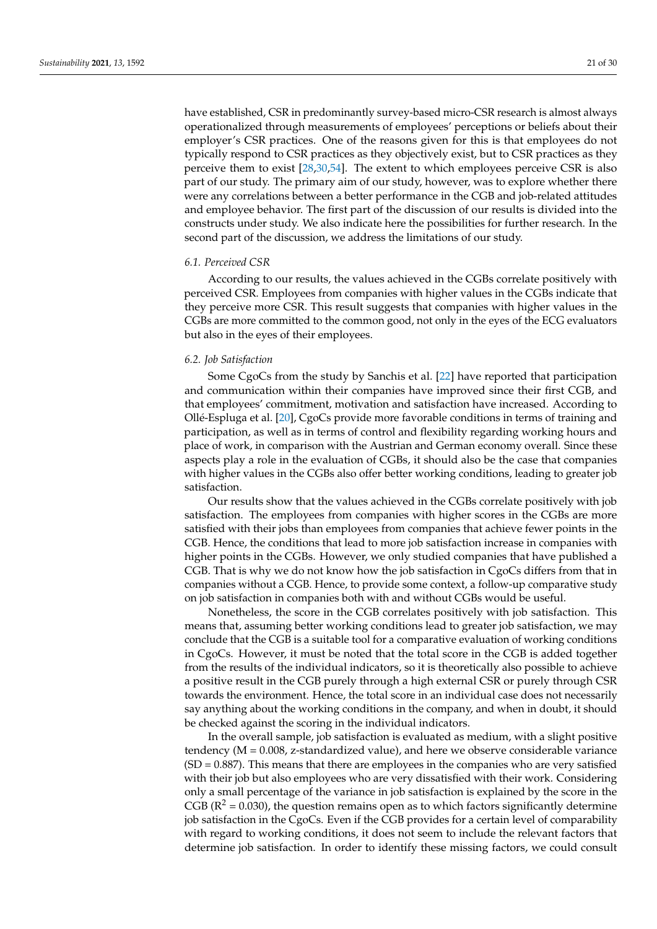have established, CSR in predominantly survey-based micro-CSR research is almost always operationalized through measurements of employees' perceptions or beliefs about their employer's CSR practices. One of the reasons given for this is that employees do not typically respond to CSR practices as they objectively exist, but to CSR practices as they perceive them to exist [\[28,](#page-28-1)[30,](#page-28-3)[54\]](#page-28-27). The extent to which employees perceive CSR is also part of our study. The primary aim of our study, however, was to explore whether there were any correlations between a better performance in the CGB and job-related attitudes and employee behavior. The first part of the discussion of our results is divided into the constructs under study. We also indicate here the possibilities for further research. In the second part of the discussion, we address the limitations of our study.

#### *6.1. Perceived CSR*

According to our results, the values achieved in the CGBs correlate positively with perceived CSR. Employees from companies with higher values in the CGBs indicate that they perceive more CSR. This result suggests that companies with higher values in the CGBs are more committed to the common good, not only in the eyes of the ECG evaluators but also in the eyes of their employees.

### *6.2. Job Satisfaction*

Some CgoCs from the study by Sanchis et al. [\[22\]](#page-27-20) have reported that participation and communication within their companies have improved since their first CGB, and that employees' commitment, motivation and satisfaction have increased. According to Ollé-Espluga et al. [\[20\]](#page-27-18), CgoCs provide more favorable conditions in terms of training and participation, as well as in terms of control and flexibility regarding working hours and place of work, in comparison with the Austrian and German economy overall. Since these aspects play a role in the evaluation of CGBs, it should also be the case that companies with higher values in the CGBs also offer better working conditions, leading to greater job satisfaction.

Our results show that the values achieved in the CGBs correlate positively with job satisfaction. The employees from companies with higher scores in the CGBs are more satisfied with their jobs than employees from companies that achieve fewer points in the CGB. Hence, the conditions that lead to more job satisfaction increase in companies with higher points in the CGBs. However, we only studied companies that have published a CGB. That is why we do not know how the job satisfaction in CgoCs differs from that in companies without a CGB. Hence, to provide some context, a follow-up comparative study on job satisfaction in companies both with and without CGBs would be useful.

Nonetheless, the score in the CGB correlates positively with job satisfaction. This means that, assuming better working conditions lead to greater job satisfaction, we may conclude that the CGB is a suitable tool for a comparative evaluation of working conditions in CgoCs. However, it must be noted that the total score in the CGB is added together from the results of the individual indicators, so it is theoretically also possible to achieve a positive result in the CGB purely through a high external CSR or purely through CSR towards the environment. Hence, the total score in an individual case does not necessarily say anything about the working conditions in the company, and when in doubt, it should be checked against the scoring in the individual indicators.

In the overall sample, job satisfaction is evaluated as medium, with a slight positive tendency ( $M = 0.008$ , z-standardized value), and here we observe considerable variance  $(SD = 0.887)$ . This means that there are employees in the companies who are very satisfied with their job but also employees who are very dissatisfied with their work. Considering only a small percentage of the variance in job satisfaction is explained by the score in the CGB ( $\mathbb{R}^2$  = 0.030), the question remains open as to which factors significantly determine job satisfaction in the CgoCs. Even if the CGB provides for a certain level of comparability with regard to working conditions, it does not seem to include the relevant factors that determine job satisfaction. In order to identify these missing factors, we could consult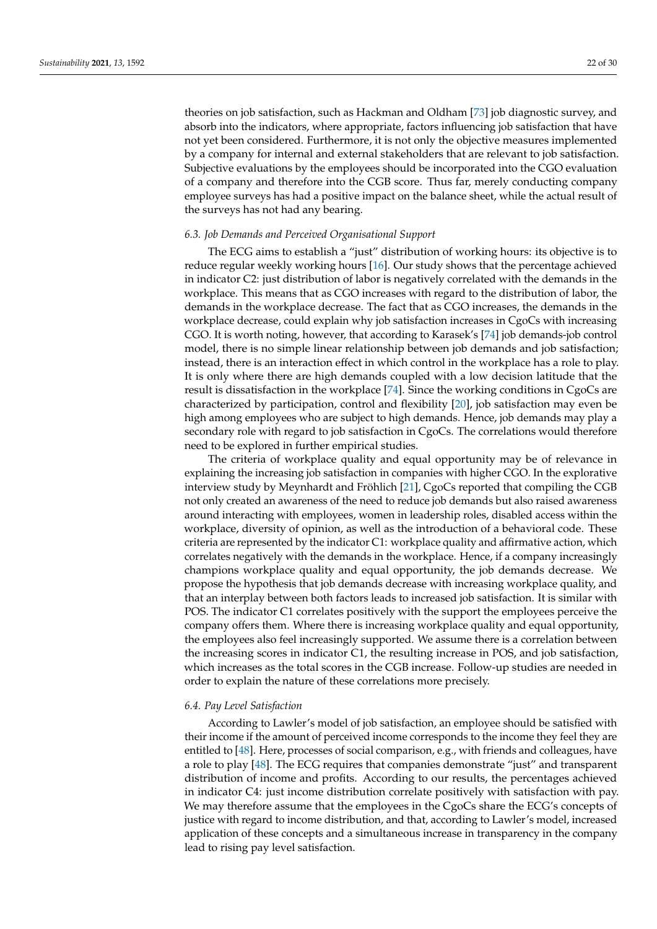theories on job satisfaction, such as Hackman and Oldham [\[73\]](#page-29-17) job diagnostic survey, and absorb into the indicators, where appropriate, factors influencing job satisfaction that have not yet been considered. Furthermore, it is not only the objective measures implemented by a company for internal and external stakeholders that are relevant to job satisfaction. Subjective evaluations by the employees should be incorporated into the CGO evaluation of a company and therefore into the CGB score. Thus far, merely conducting company employee surveys has had a positive impact on the balance sheet, while the actual result of the surveys has not had any bearing.

# *6.3. Job Demands and Perceived Organisational Support*

The ECG aims to establish a "just" distribution of working hours: its objective is to reduce regular weekly working hours [\[16\]](#page-27-14). Our study shows that the percentage achieved in indicator C2: just distribution of labor is negatively correlated with the demands in the workplace. This means that as CGO increases with regard to the distribution of labor, the demands in the workplace decrease. The fact that as CGO increases, the demands in the workplace decrease, could explain why job satisfaction increases in CgoCs with increasing CGO. It is worth noting, however, that according to Karasek's [\[74\]](#page-29-18) job demands-job control model, there is no simple linear relationship between job demands and job satisfaction; instead, there is an interaction effect in which control in the workplace has a role to play. It is only where there are high demands coupled with a low decision latitude that the result is dissatisfaction in the workplace [\[74\]](#page-29-18). Since the working conditions in CgoCs are characterized by participation, control and flexibility [\[20\]](#page-27-18), job satisfaction may even be high among employees who are subject to high demands. Hence, job demands may play a secondary role with regard to job satisfaction in CgoCs. The correlations would therefore need to be explored in further empirical studies.

The criteria of workplace quality and equal opportunity may be of relevance in explaining the increasing job satisfaction in companies with higher CGO. In the explorative interview study by Meynhardt and Fröhlich [\[21\]](#page-27-19), CgoCs reported that compiling the CGB not only created an awareness of the need to reduce job demands but also raised awareness around interacting with employees, women in leadership roles, disabled access within the workplace, diversity of opinion, as well as the introduction of a behavioral code. These criteria are represented by the indicator C1: workplace quality and affirmative action, which correlates negatively with the demands in the workplace. Hence, if a company increasingly champions workplace quality and equal opportunity, the job demands decrease. We propose the hypothesis that job demands decrease with increasing workplace quality, and that an interplay between both factors leads to increased job satisfaction. It is similar with POS. The indicator C1 correlates positively with the support the employees perceive the company offers them. Where there is increasing workplace quality and equal opportunity, the employees also feel increasingly supported. We assume there is a correlation between the increasing scores in indicator C1, the resulting increase in POS, and job satisfaction, which increases as the total scores in the CGB increase. Follow-up studies are needed in order to explain the nature of these correlations more precisely.

### *6.4. Pay Level Satisfaction*

According to Lawler's model of job satisfaction, an employee should be satisfied with their income if the amount of perceived income corresponds to the income they feel they are entitled to [\[48\]](#page-28-21). Here, processes of social comparison, e.g., with friends and colleagues, have a role to play [\[48\]](#page-28-21). The ECG requires that companies demonstrate "just" and transparent distribution of income and profits. According to our results, the percentages achieved in indicator C4: just income distribution correlate positively with satisfaction with pay. We may therefore assume that the employees in the CgoCs share the ECG's concepts of justice with regard to income distribution, and that, according to Lawler's model, increased application of these concepts and a simultaneous increase in transparency in the company lead to rising pay level satisfaction.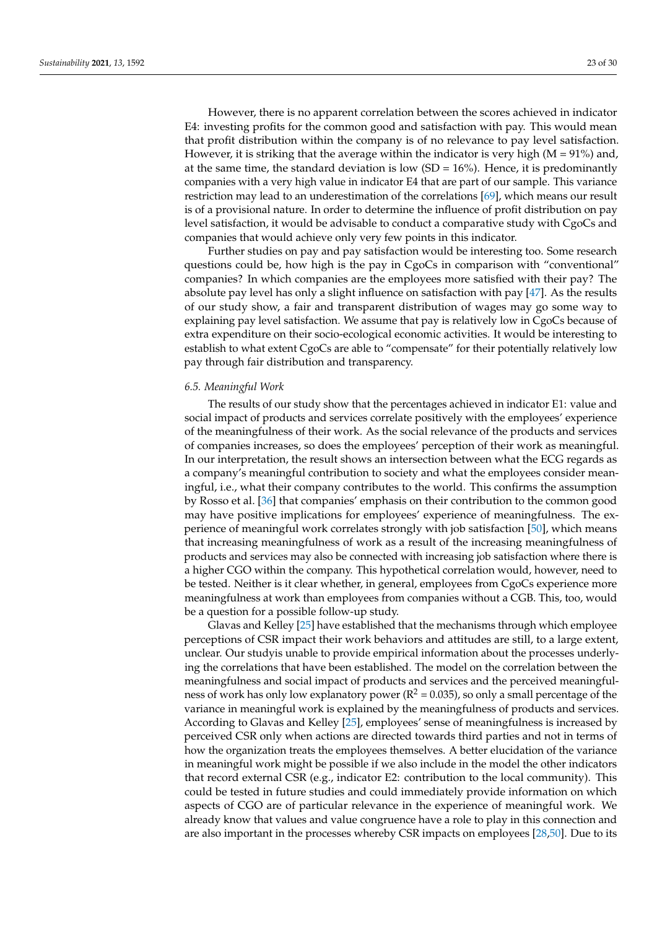However, there is no apparent correlation between the scores achieved in indicator E4: investing profits for the common good and satisfaction with pay. This would mean that profit distribution within the company is of no relevance to pay level satisfaction. However, it is striking that the average within the indicator is very high  $(M = 91\%)$  and, at the same time, the standard deviation is low  $(SD = 16\%)$ . Hence, it is predominantly companies with a very high value in indicator E4 that are part of our sample. This variance restriction may lead to an underestimation of the correlations [\[69\]](#page-29-13), which means our result is of a provisional nature. In order to determine the influence of profit distribution on pay level satisfaction, it would be advisable to conduct a comparative study with CgoCs and companies that would achieve only very few points in this indicator.

Further studies on pay and pay satisfaction would be interesting too. Some research questions could be, how high is the pay in CgoCs in comparison with "conventional" companies? In which companies are the employees more satisfied with their pay? The absolute pay level has only a slight influence on satisfaction with pay [\[47\]](#page-28-20). As the results of our study show, a fair and transparent distribution of wages may go some way to explaining pay level satisfaction. We assume that pay is relatively low in CgoCs because of extra expenditure on their socio-ecological economic activities. It would be interesting to establish to what extent CgoCs are able to "compensate" for their potentially relatively low pay through fair distribution and transparency.

### *6.5. Meaningful Work*

The results of our study show that the percentages achieved in indicator E1: value and social impact of products and services correlate positively with the employees' experience of the meaningfulness of their work. As the social relevance of the products and services of companies increases, so does the employees' perception of their work as meaningful. In our interpretation, the result shows an intersection between what the ECG regards as a company's meaningful contribution to society and what the employees consider meaningful, i.e., what their company contributes to the world. This confirms the assumption by Rosso et al. [\[36\]](#page-28-9) that companies' emphasis on their contribution to the common good may have positive implications for employees' experience of meaningfulness. The experience of meaningful work correlates strongly with job satisfaction [\[50\]](#page-28-23), which means that increasing meaningfulness of work as a result of the increasing meaningfulness of products and services may also be connected with increasing job satisfaction where there is a higher CGO within the company. This hypothetical correlation would, however, need to be tested. Neither is it clear whether, in general, employees from CgoCs experience more meaningfulness at work than employees from companies without a CGB. This, too, would be a question for a possible follow-up study.

Glavas and Kelley [\[25\]](#page-27-23) have established that the mechanisms through which employee perceptions of CSR impact their work behaviors and attitudes are still, to a large extent, unclear. Our studyis unable to provide empirical information about the processes underlying the correlations that have been established. The model on the correlation between the meaningfulness and social impact of products and services and the perceived meaningfulness of work has only low explanatory power ( $R^2 = 0.035$ ), so only a small percentage of the variance in meaningful work is explained by the meaningfulness of products and services. According to Glavas and Kelley [\[25\]](#page-27-23), employees' sense of meaningfulness is increased by perceived CSR only when actions are directed towards third parties and not in terms of how the organization treats the employees themselves. A better elucidation of the variance in meaningful work might be possible if we also include in the model the other indicators that record external CSR (e.g., indicator E2: contribution to the local community). This could be tested in future studies and could immediately provide information on which aspects of CGO are of particular relevance in the experience of meaningful work. We already know that values and value congruence have a role to play in this connection and are also important in the processes whereby CSR impacts on employees [\[28,](#page-28-1)[50\]](#page-28-23). Due to its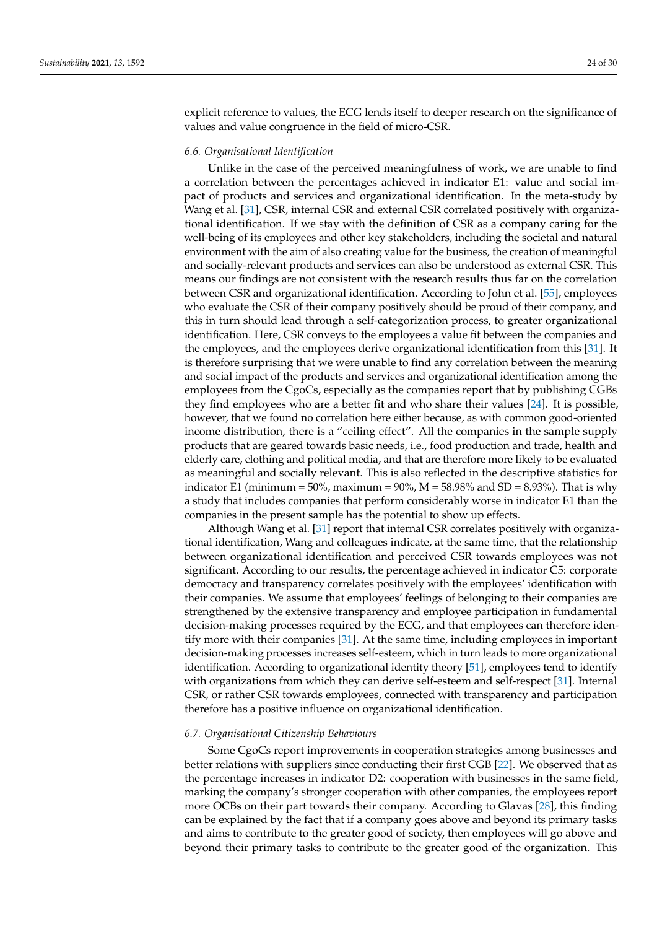explicit reference to values, the ECG lends itself to deeper research on the significance of values and value congruence in the field of micro-CSR.

### *6.6. Organisational Identification*

Unlike in the case of the perceived meaningfulness of work, we are unable to find a correlation between the percentages achieved in indicator E1: value and social impact of products and services and organizational identification. In the meta-study by Wang et al. [\[31\]](#page-28-4), CSR, internal CSR and external CSR correlated positively with organizational identification. If we stay with the definition of CSR as a company caring for the well-being of its employees and other key stakeholders, including the societal and natural environment with the aim of also creating value for the business, the creation of meaningful and socially-relevant products and services can also be understood as external CSR. This means our findings are not consistent with the research results thus far on the correlation between CSR and organizational identification. According to John et al. [\[55\]](#page-28-28), employees who evaluate the CSR of their company positively should be proud of their company, and this in turn should lead through a self-categorization process, to greater organizational identification. Here, CSR conveys to the employees a value fit between the companies and the employees, and the employees derive organizational identification from this [\[31\]](#page-28-4). It is therefore surprising that we were unable to find any correlation between the meaning and social impact of the products and services and organizational identification among the employees from the CgoCs, especially as the companies report that by publishing CGBs they find employees who are a better fit and who share their values [\[24\]](#page-27-22). It is possible, however, that we found no correlation here either because, as with common good-oriented income distribution, there is a "ceiling effect". All the companies in the sample supply products that are geared towards basic needs, i.e., food production and trade, health and elderly care, clothing and political media, and that are therefore more likely to be evaluated as meaningful and socially relevant. This is also reflected in the descriptive statistics for indicator E1 (minimum = 50%, maximum = 90%,  $M = 58.98%$  and SD = 8.93%). That is why a study that includes companies that perform considerably worse in indicator E1 than the companies in the present sample has the potential to show up effects.

Although Wang et al. [\[31\]](#page-28-4) report that internal CSR correlates positively with organizational identification, Wang and colleagues indicate, at the same time, that the relationship between organizational identification and perceived CSR towards employees was not significant. According to our results, the percentage achieved in indicator C5: corporate democracy and transparency correlates positively with the employees' identification with their companies. We assume that employees' feelings of belonging to their companies are strengthened by the extensive transparency and employee participation in fundamental decision-making processes required by the ECG, and that employees can therefore identify more with their companies [\[31\]](#page-28-4). At the same time, including employees in important decision-making processes increases self-esteem, which in turn leads to more organizational identification. According to organizational identity theory [\[51\]](#page-28-24), employees tend to identify with organizations from which they can derive self-esteem and self-respect [\[31\]](#page-28-4). Internal CSR, or rather CSR towards employees, connected with transparency and participation therefore has a positive influence on organizational identification.

#### *6.7. Organisational Citizenship Behaviours*

Some CgoCs report improvements in cooperation strategies among businesses and better relations with suppliers since conducting their first CGB [\[22\]](#page-27-20). We observed that as the percentage increases in indicator D2: cooperation with businesses in the same field, marking the company's stronger cooperation with other companies, the employees report more OCBs on their part towards their company. According to Glavas [\[28\]](#page-28-1), this finding can be explained by the fact that if a company goes above and beyond its primary tasks and aims to contribute to the greater good of society, then employees will go above and beyond their primary tasks to contribute to the greater good of the organization. This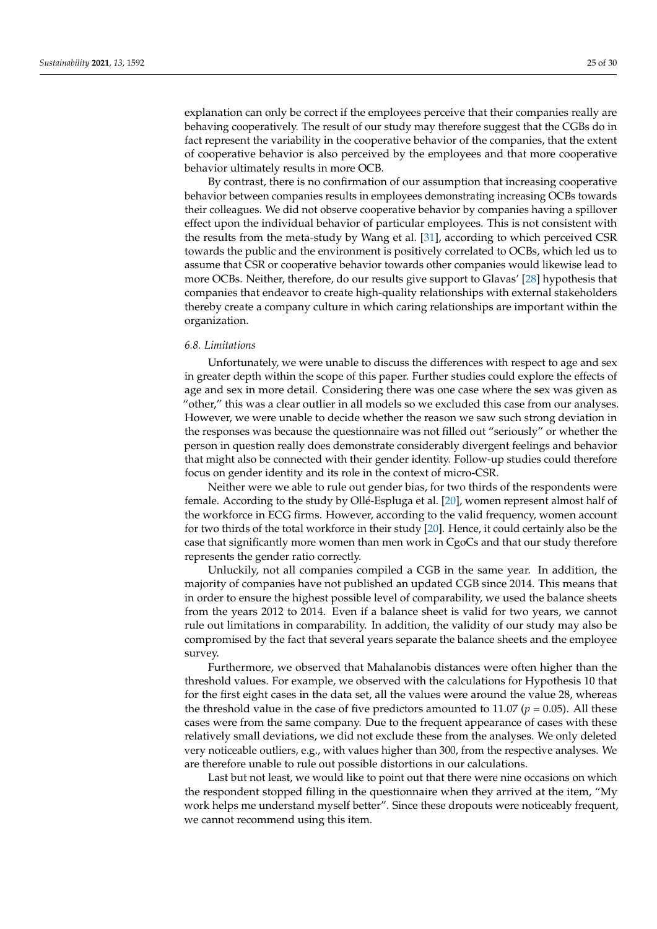explanation can only be correct if the employees perceive that their companies really are behaving cooperatively. The result of our study may therefore suggest that the CGBs do in fact represent the variability in the cooperative behavior of the companies, that the extent of cooperative behavior is also perceived by the employees and that more cooperative behavior ultimately results in more OCB.

By contrast, there is no confirmation of our assumption that increasing cooperative behavior between companies results in employees demonstrating increasing OCBs towards their colleagues. We did not observe cooperative behavior by companies having a spillover effect upon the individual behavior of particular employees. This is not consistent with the results from the meta-study by Wang et al. [\[31\]](#page-28-4), according to which perceived CSR towards the public and the environment is positively correlated to OCBs, which led us to assume that CSR or cooperative behavior towards other companies would likewise lead to more OCBs. Neither, therefore, do our results give support to Glavas' [\[28\]](#page-28-1) hypothesis that companies that endeavor to create high-quality relationships with external stakeholders thereby create a company culture in which caring relationships are important within the organization.

# *6.8. Limitations*

Unfortunately, we were unable to discuss the differences with respect to age and sex in greater depth within the scope of this paper. Further studies could explore the effects of age and sex in more detail. Considering there was one case where the sex was given as "other," this was a clear outlier in all models so we excluded this case from our analyses. However, we were unable to decide whether the reason we saw such strong deviation in the responses was because the questionnaire was not filled out "seriously" or whether the person in question really does demonstrate considerably divergent feelings and behavior that might also be connected with their gender identity. Follow-up studies could therefore focus on gender identity and its role in the context of micro-CSR.

Neither were we able to rule out gender bias, for two thirds of the respondents were female. According to the study by Ollé-Espluga et al. [\[20\]](#page-27-18), women represent almost half of the workforce in ECG firms. However, according to the valid frequency, women account for two thirds of the total workforce in their study [\[20\]](#page-27-18). Hence, it could certainly also be the case that significantly more women than men work in CgoCs and that our study therefore represents the gender ratio correctly.

Unluckily, not all companies compiled a CGB in the same year. In addition, the majority of companies have not published an updated CGB since 2014. This means that in order to ensure the highest possible level of comparability, we used the balance sheets from the years 2012 to 2014. Even if a balance sheet is valid for two years, we cannot rule out limitations in comparability. In addition, the validity of our study may also be compromised by the fact that several years separate the balance sheets and the employee survey.

Furthermore, we observed that Mahalanobis distances were often higher than the threshold values. For example, we observed with the calculations for Hypothesis 10 that for the first eight cases in the data set, all the values were around the value 28, whereas the threshold value in the case of five predictors amounted to 11.07 ( $p = 0.05$ ). All these cases were from the same company. Due to the frequent appearance of cases with these relatively small deviations, we did not exclude these from the analyses. We only deleted very noticeable outliers, e.g., with values higher than 300, from the respective analyses. We are therefore unable to rule out possible distortions in our calculations.

Last but not least, we would like to point out that there were nine occasions on which the respondent stopped filling in the questionnaire when they arrived at the item, "My work helps me understand myself better". Since these dropouts were noticeably frequent, we cannot recommend using this item.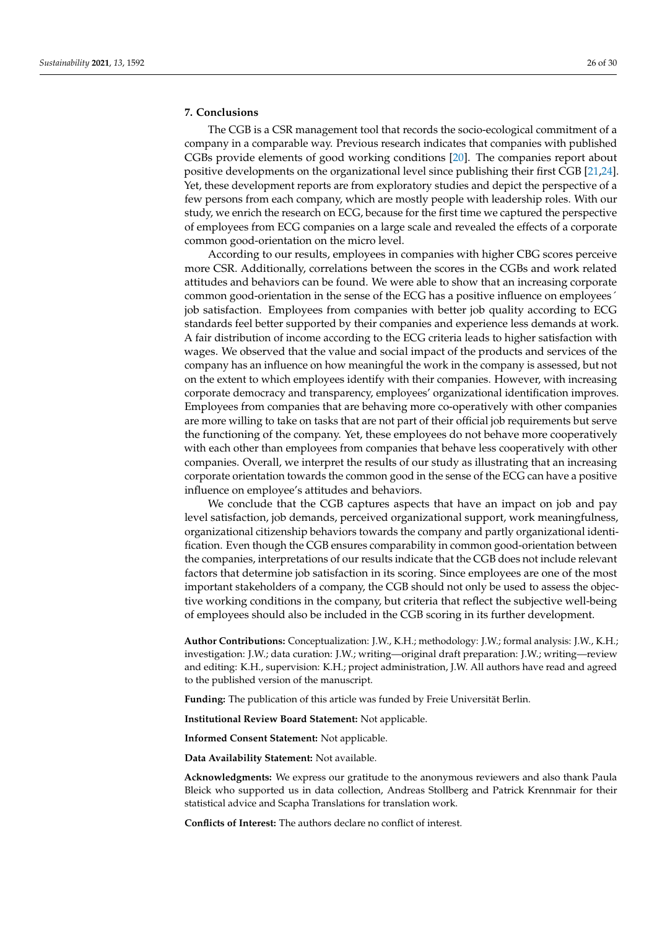# **7. Conclusions**

The CGB is a CSR management tool that records the socio-ecological commitment of a company in a comparable way. Previous research indicates that companies with published CGBs provide elements of good working conditions [\[20\]](#page-27-18). The companies report about positive developments on the organizational level since publishing their first CGB [\[21](#page-27-19)[,24\]](#page-27-22). Yet, these development reports are from exploratory studies and depict the perspective of a few persons from each company, which are mostly people with leadership roles. With our study, we enrich the research on ECG, because for the first time we captured the perspective of employees from ECG companies on a large scale and revealed the effects of a corporate common good-orientation on the micro level.

According to our results, employees in companies with higher CBG scores perceive more CSR. Additionally, correlations between the scores in the CGBs and work related attitudes and behaviors can be found. We were able to show that an increasing corporate common good-orientation in the sense of the ECG has a positive influence on employees´ job satisfaction. Employees from companies with better job quality according to ECG standards feel better supported by their companies and experience less demands at work. A fair distribution of income according to the ECG criteria leads to higher satisfaction with wages. We observed that the value and social impact of the products and services of the company has an influence on how meaningful the work in the company is assessed, but not on the extent to which employees identify with their companies. However, with increasing corporate democracy and transparency, employees' organizational identification improves. Employees from companies that are behaving more co-operatively with other companies are more willing to take on tasks that are not part of their official job requirements but serve the functioning of the company. Yet, these employees do not behave more cooperatively with each other than employees from companies that behave less cooperatively with other companies. Overall, we interpret the results of our study as illustrating that an increasing corporate orientation towards the common good in the sense of the ECG can have a positive influence on employee's attitudes and behaviors.

We conclude that the CGB captures aspects that have an impact on job and pay level satisfaction, job demands, perceived organizational support, work meaningfulness, organizational citizenship behaviors towards the company and partly organizational identification. Even though the CGB ensures comparability in common good-orientation between the companies, interpretations of our results indicate that the CGB does not include relevant factors that determine job satisfaction in its scoring. Since employees are one of the most important stakeholders of a company, the CGB should not only be used to assess the objective working conditions in the company, but criteria that reflect the subjective well-being of employees should also be included in the CGB scoring in its further development.

**Author Contributions:** Conceptualization: J.W., K.H.; methodology: J.W.; formal analysis: J.W., K.H.; investigation: J.W.; data curation: J.W.; writing—original draft preparation: J.W.; writing—review and editing: K.H., supervision: K.H.; project administration, J.W. All authors have read and agreed to the published version of the manuscript.

**Funding:** The publication of this article was funded by Freie Universität Berlin.

**Institutional Review Board Statement:** Not applicable.

**Informed Consent Statement:** Not applicable.

**Data Availability Statement:** Not available.

**Acknowledgments:** We express our gratitude to the anonymous reviewers and also thank Paula Bleick who supported us in data collection, Andreas Stollberg and Patrick Krennmair for their statistical advice and Scapha Translations for translation work.

**Conflicts of Interest:** The authors declare no conflict of interest.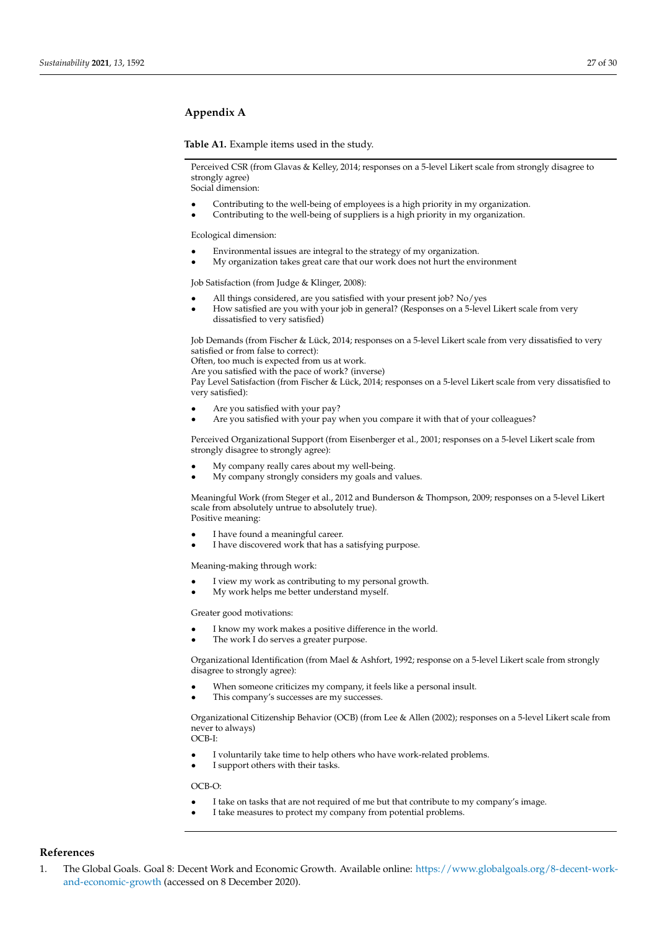# <span id="page-26-1"></span>**Appendix A**

**Table A1.** Example items used in the study.

Perceived CSR (from Glavas & Kelley, 2014; responses on a 5-level Likert scale from strongly disagree to strongly agree) Social dimension:

- Contributing to the well-being of employees is a high priority in my organization.
- Contributing to the well-being of suppliers is a high priority in my organization.

Ecological dimension:

- Environmental issues are integral to the strategy of my organization.
- My organization takes great care that our work does not hurt the environment

Job Satisfaction (from Judge & Klinger, 2008):

- All things considered, are you satisfied with your present job? No/yes
- How satisfied are you with your job in general? (Responses on a 5-level Likert scale from very dissatisfied to very satisfied)

Job Demands (from Fischer & Lück, 2014; responses on a 5-level Likert scale from very dissatisfied to very satisfied or from false to correct):

Often, too much is expected from us at work.

Are you satisfied with the pace of work? (inverse)

Pay Level Satisfaction (from Fischer & Lück, 2014; responses on a 5-level Likert scale from very dissatisfied to very satisfied):

- Are you satisfied with your pay?
- Are you satisfied with your pay when you compare it with that of your colleagues?

Perceived Organizational Support (from Eisenberger et al., 2001; responses on a 5-level Likert scale from strongly disagree to strongly agree):

- My company really cares about my well-being.
- My company strongly considers my goals and values.

Meaningful Work (from Steger et al., 2012 and Bunderson & Thompson, 2009; responses on a 5-level Likert scale from absolutely untrue to absolutely true). Positive meaning:

- I have found a meaningful career.
- I have discovered work that has a satisfying purpose.

Meaning-making through work:

- I view my work as contributing to my personal growth.
- My work helps me better understand myself.

Greater good motivations:

- I know my work makes a positive difference in the world.
- The work I do serves a greater purpose.

Organizational Identification (from Mael & Ashfort, 1992; response on a 5-level Likert scale from strongly disagree to strongly agree):

- When someone criticizes my company, it feels like a personal insult.
- This company's successes are my successes.

Organizational Citizenship Behavior (OCB) (from Lee & Allen (2002); responses on a 5-level Likert scale from never to always)

OCB-I:

- I voluntarily take time to help others who have work-related problems.
- I support others with their tasks.

OCB-O:

- I take on tasks that are not required of me but that contribute to my company's image.
- I take measures to protect my company from potential problems.

# **References**

<span id="page-26-0"></span>1. The Global Goals. Goal 8: Decent Work and Economic Growth. Available online: [https://www.globalgoals.org/8-decent-work](https://www.globalgoals.org/8-decent-work-and-economic-growth)[and-economic-growth](https://www.globalgoals.org/8-decent-work-and-economic-growth) (accessed on 8 December 2020).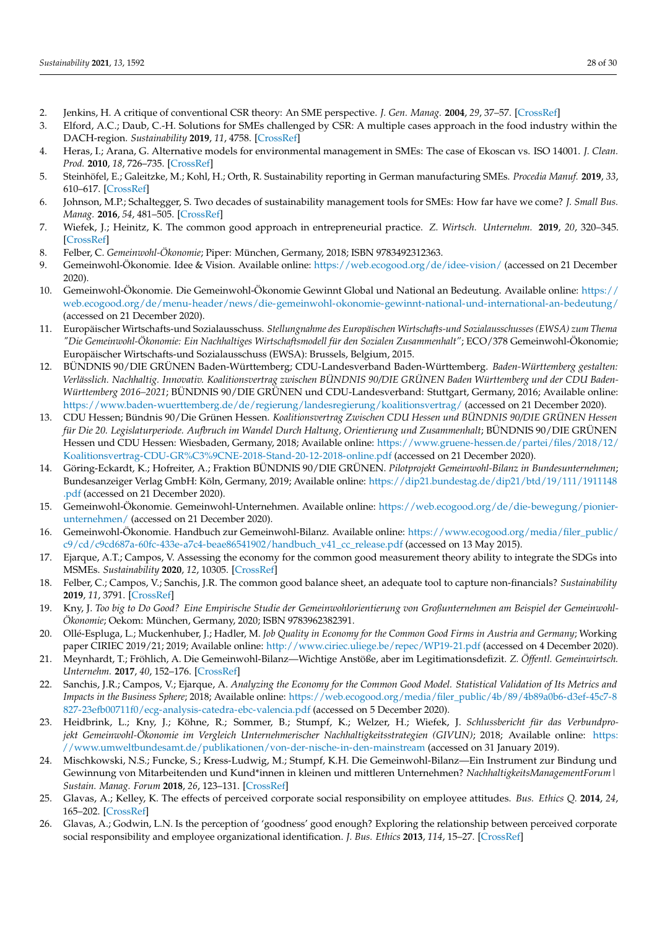- <span id="page-27-0"></span>2. Jenkins, H. A critique of conventional CSR theory: An SME perspective. *J. Gen. Manag.* **2004**, *29*, 37–57. [\[CrossRef\]](http://doi.org/10.1177/030630700402900403)
- <span id="page-27-1"></span>3. Elford, A.C.; Daub, C.-H. Solutions for SMEs challenged by CSR: A multiple cases approach in the food industry within the DACH-region. *Sustainability* **2019**, *11*, 4758. [\[CrossRef\]](http://doi.org/10.3390/su11174758)
- 4. Heras, I.; Arana, G. Alternative models for environmental management in SMEs: The case of Ekoscan vs. ISO 14001. *J. Clean. Prod.* **2010**, *18*, 726–735. [\[CrossRef\]](http://doi.org/10.1016/j.jclepro.2010.01.005)
- <span id="page-27-2"></span>5. Steinhöfel, E.; Galeitzke, M.; Kohl, H.; Orth, R. Sustainability reporting in German manufacturing SMEs. *Procedia Manuf.* **2019**, *33*, 610–617. [\[CrossRef\]](http://doi.org/10.1016/j.promfg.2019.04.076)
- <span id="page-27-3"></span>6. Johnson, M.P.; Schaltegger, S. Two decades of sustainability management tools for SMEs: How far have we come? *J. Small Bus. Manag.* **2016**, *54*, 481–505. [\[CrossRef\]](http://doi.org/10.1111/jsbm.12154)
- <span id="page-27-4"></span>7. Wiefek, J.; Heinitz, K. The common good approach in entrepreneurial practice. *Z. Wirtsch. Unternehm.* **2019**, *20*, 320–345. [\[CrossRef\]](http://doi.org/10.5771/1439-880X-2019-3-320)
- <span id="page-27-13"></span><span id="page-27-5"></span>8. Felber, C. *Gemeinwohl-Ökonomie*; Piper: München, Germany, 2018; ISBN 9783492312363.
- <span id="page-27-6"></span>9. Gemeinwohl-Ökonomie. Idee & Vision. Available online: <https://web.ecogood.org/de/idee-vision/> (accessed on 21 December 2020).
- <span id="page-27-7"></span>10. Gemeinwohl-Ökonomie. Die Gemeinwohl-Ökonomie Gewinnt Global und National an Bedeutung. Available online: [https://](https://web.ecogood.org/de/menu-header/news/die-gemeinwohl-okonomie-gewinnt-national-und-international-an-bedeutung/) [web.ecogood.org/de/menu-header/news/die-gemeinwohl-okonomie-gewinnt-national-und-international-an-bedeutung/](https://web.ecogood.org/de/menu-header/news/die-gemeinwohl-okonomie-gewinnt-national-und-international-an-bedeutung/) (accessed on 21 December 2020).
- <span id="page-27-8"></span>11. Europäischer Wirtschafts-und Sozialausschuss. *Stellungnahme des Europäischen Wirtschafts-und Sozialausschusses (EWSA) zum Thema "Die Gemeinwohl-Ökonomie: Ein Nachhaltiges Wirtschaftsmodell für den Sozialen Zusammenhalt"*; ECO/378 Gemeinwohl-Ökonomie; Europäischer Wirtschafts-und Sozialausschuss (EWSA): Brussels, Belgium, 2015.
- <span id="page-27-9"></span>12. BÜNDNIS 90/DIE GRÜNEN Baden-Württemberg; CDU-Landesverband Baden-Württemberg. *Baden-Württemberg gestalten: Verlässlich. Nachhaltig. Innovativ. Koalitionsvertrag zwischen BÜNDNIS 90/DIE GRÜNEN Baden Württemberg und der CDU Baden-Württemberg 2016–2021*; BÜNDNIS 90/DIE GRÜNEN und CDU-Landesverband: Stuttgart, Germany, 2016; Available online: <https://www.baden-wuerttemberg.de/de/regierung/landesregierung/koalitionsvertrag/> (accessed on 21 December 2020).
- <span id="page-27-10"></span>13. CDU Hessen; Bündnis 90/Die Grünen Hessen. *Koalitionsvertrag Zwischen CDU Hessen und BÜNDNIS 90/DIE GRÜNEN Hessen für Die 20. Legislaturperiode. Aufbruch im Wandel Durch Haltung, Orientierung und Zusammenhalt*; BÜNDNIS 90/DIE GRÜNEN Hessen und CDU Hessen: Wiesbaden, Germany, 2018; Available online: [https://www.gruene-hessen.de/partei/files/2018/12/](https://www.gruene-hessen.de/partei/files/2018/12/Koalitionsvertrag-CDU-GR%C3%9CNE-2018-Stand-20-12-2018-online.pdf) [Koalitionsvertrag-CDU-GR%C3%9CNE-2018-Stand-20-12-2018-online.pdf](https://www.gruene-hessen.de/partei/files/2018/12/Koalitionsvertrag-CDU-GR%C3%9CNE-2018-Stand-20-12-2018-online.pdf) (accessed on 21 December 2020).
- <span id="page-27-11"></span>14. Göring-Eckardt, K.; Hofreiter, A.; Fraktion BÜNDNIS 90/DIE GRÜNEN. *Pilotprojekt Gemeinwohl-Bilanz in Bundesunternehmen*; Bundesanzeiger Verlag GmbH: Köln, Germany, 2019; Available online: [https://dip21.bundestag.de/dip21/btd/19/111/1911148](https://dip21.bundestag.de/dip21/btd/19/111/1911148.pdf) [.pdf](https://dip21.bundestag.de/dip21/btd/19/111/1911148.pdf) (accessed on 21 December 2020).
- <span id="page-27-12"></span>15. Gemeinwohl-Ökonomie. Gemeinwohl-Unternehmen. Available online: [https://web.ecogood.org/de/die-bewegung/pionier](https://web.ecogood.org/de/die-bewegung/pionier-unternehmen/)[unternehmen/](https://web.ecogood.org/de/die-bewegung/pionier-unternehmen/) (accessed on 21 December 2020).
- <span id="page-27-14"></span>16. Gemeinwohl-Ökonomie. Handbuch zur Gemeinwohl-Bilanz. Available online: [https://www.ecogood.org/media/filer\\_public/](https://www.ecogood.org/media/filer_public/c9/cd/c9cd687a-60fc-433e-a7c4-beae86541902/handbuch_v41_cc_release.pdf) [c9/cd/c9cd687a-60fc-433e-a7c4-beae86541902/handbuch\\_v41\\_cc\\_release.pdf](https://www.ecogood.org/media/filer_public/c9/cd/c9cd687a-60fc-433e-a7c4-beae86541902/handbuch_v41_cc_release.pdf) (accessed on 13 May 2015).
- <span id="page-27-15"></span>17. Ejarque, A.T.; Campos, V. Assessing the economy for the common good measurement theory ability to integrate the SDGs into MSMEs. *Sustainability* **2020**, *12*, 10305. [\[CrossRef\]](http://doi.org/10.3390/su122410305)
- <span id="page-27-16"></span>18. Felber, C.; Campos, V.; Sanchis, J.R. The common good balance sheet, an adequate tool to capture non-financials? *Sustainability* **2019**, *11*, 3791. [\[CrossRef\]](http://doi.org/10.3390/su11143791)
- <span id="page-27-17"></span>19. Kny, J. *Too big to Do Good? Eine Empirische Studie der Gemeinwohlorientierung von Großunternehmen am Beispiel der Gemeinwohl-Ökonomie*; Oekom: München, Germany, 2020; ISBN 9783962382391.
- <span id="page-27-18"></span>20. Ollé-Espluga, L.; Muckenhuber, J.; Hadler, M. *Job Quality in Economy for the Common Good Firms in Austria and Germany*; Working paper CIRIEC 2019/21; 2019; Available online: <http://www.ciriec.uliege.be/repec/WP19-21.pdf> (accessed on 4 December 2020).
- <span id="page-27-19"></span>21. Meynhardt, T.; Fröhlich, A. Die Gemeinwohl-Bilanz—Wichtige Anstöße, aber im Legitimationsdefizit. *Z. Öffentl. Gemeinwirtsch. Unternehm.* **2017**, *40*, 152–176. [\[CrossRef\]](http://doi.org/10.5771/0344-9777-2017-2-3-152)
- <span id="page-27-20"></span>22. Sanchis, J.R.; Campos, V.; Ejarque, A. *Analyzing the Economy for the Common Good Model. Statistical Validation of Its Metrics and Impacts in the Business Sphere*; 2018; Available online: [https://web.ecogood.org/media/filer\\_public/4b/89/4b89a0b6-d3ef-45c7-8](https://web.ecogood.org/media/filer_public/4b/89/4b89a0b6-d3ef-45c7-8827-23efb00711f0/ecg-analysis-catedra-ebc-valencia.pdf) [827-23efb00711f0/ecg-analysis-catedra-ebc-valencia.pdf](https://web.ecogood.org/media/filer_public/4b/89/4b89a0b6-d3ef-45c7-8827-23efb00711f0/ecg-analysis-catedra-ebc-valencia.pdf) (accessed on 5 December 2020).
- <span id="page-27-21"></span>23. Heidbrink, L.; Kny, J.; Köhne, R.; Sommer, B.; Stumpf, K.; Welzer, H.; Wiefek, J. *Schlussbericht für das Verbundprojekt Gemeinwohl-Ökonomie im Vergleich Unternehmerischer Nachhaltigkeitsstrategien (GIVUN)*; 2018; Available online: [https:](https://www.umweltbundesamt.de/publikationen/von-der-nische-in-den-mainstream) [//www.umweltbundesamt.de/publikationen/von-der-nische-in-den-mainstream](https://www.umweltbundesamt.de/publikationen/von-der-nische-in-den-mainstream) (accessed on 31 January 2019).
- <span id="page-27-22"></span>24. Mischkowski, N.S.; Funcke, S.; Kress-Ludwig, M.; Stumpf, K.H. Die Gemeinwohl-Bilanz—Ein Instrument zur Bindung und Gewinnung von Mitarbeitenden und Kund\*innen in kleinen und mittleren Unternehmen? *NachhaltigkeitsManagementForum| Sustain. Manag. Forum* **2018**, *26*, 123–131. [\[CrossRef\]](http://doi.org/10.1007/s00550-018-0472-0)
- <span id="page-27-23"></span>25. Glavas, A.; Kelley, K. The effects of perceived corporate social responsibility on employee attitudes. *Bus. Ethics Q.* **2014**, *24*, 165–202. [\[CrossRef\]](http://doi.org/10.5840/beq20143206)
- <span id="page-27-24"></span>26. Glavas, A.; Godwin, L.N. Is the perception of 'goodness' good enough? Exploring the relationship between perceived corporate social responsibility and employee organizational identification. *J. Bus. Ethics* **2013**, *114*, 15–27. [\[CrossRef\]](http://doi.org/10.1007/s10551-012-1323-5)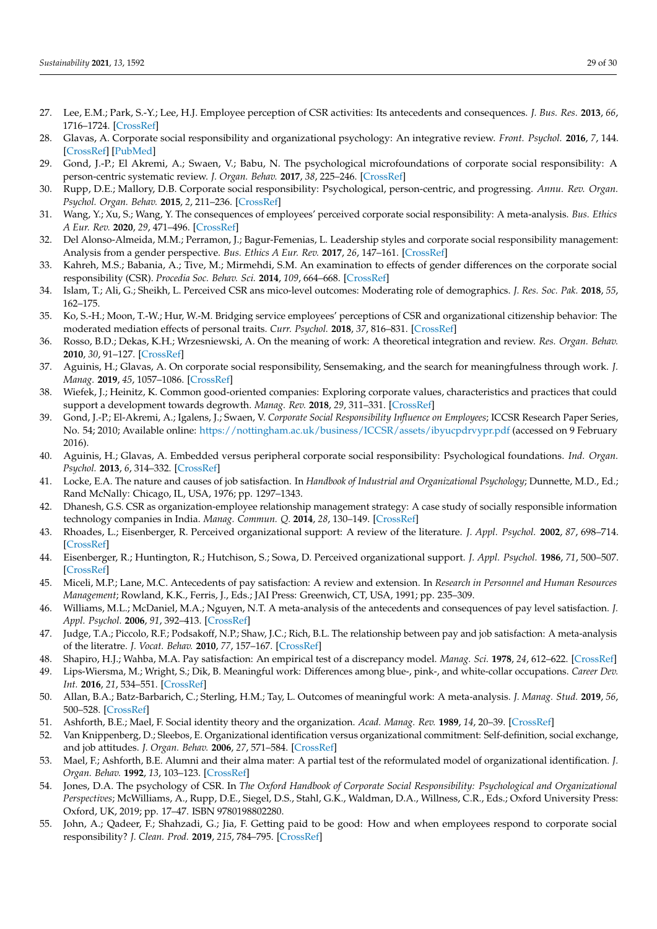- <span id="page-28-0"></span>27. Lee, E.M.; Park, S.-Y.; Lee, H.J. Employee perception of CSR activities: Its antecedents and consequences. *J. Bus. Res.* **2013**, *66*, 1716–1724. [\[CrossRef\]](http://doi.org/10.1016/j.jbusres.2012.11.008)
- <span id="page-28-1"></span>28. Glavas, A. Corporate social responsibility and organizational psychology: An integrative review. *Front. Psychol.* **2016**, *7*, 144. [\[CrossRef\]](http://doi.org/10.3389/fpsyg.2016.00144) [\[PubMed\]](http://www.ncbi.nlm.nih.gov/pubmed/26909055)
- <span id="page-28-2"></span>29. Gond, J.-P.; El Akremi, A.; Swaen, V.; Babu, N. The psychological microfoundations of corporate social responsibility: A person-centric systematic review. *J. Organ. Behav.* **2017**, *38*, 225–246. [\[CrossRef\]](http://doi.org/10.1002/job.2170)
- <span id="page-28-3"></span>30. Rupp, D.E.; Mallory, D.B. Corporate social responsibility: Psychological, person-centric, and progressing. *Annu. Rev. Organ. Psychol. Organ. Behav.* **2015**, *2*, 211–236. [\[CrossRef\]](http://doi.org/10.1146/annurev-orgpsych-032414-111505)
- <span id="page-28-4"></span>31. Wang, Y.; Xu, S.; Wang, Y. The consequences of employees' perceived corporate social responsibility: A meta-analysis. *Bus. Ethics A Eur. Rev.* **2020**, *29*, 471–496. [\[CrossRef\]](http://doi.org/10.1111/beer.12273)
- <span id="page-28-5"></span>32. Del Alonso-Almeida, M.M.; Perramon, J.; Bagur-Femenias, L. Leadership styles and corporate social responsibility management: Analysis from a gender perspective. *Bus. Ethics A Eur. Rev.* **2017**, *26*, 147–161. [\[CrossRef\]](http://doi.org/10.1111/beer.12139)
- <span id="page-28-6"></span>33. Kahreh, M.S.; Babania, A.; Tive, M.; Mirmehdi, S.M. An examination to effects of gender differences on the corporate social responsibility (CSR). *Procedia Soc. Behav. Sci.* **2014**, *109*, 664–668. [\[CrossRef\]](http://doi.org/10.1016/j.sbspro.2013.12.525)
- <span id="page-28-7"></span>34. Islam, T.; Ali, G.; Sheikh, L. Perceived CSR ans mico-level outcomes: Moderating role of demographics. *J. Res. Soc. Pak.* **2018**, *55*, 162–175.
- <span id="page-28-8"></span>35. Ko, S.-H.; Moon, T.-W.; Hur, W.-M. Bridging service employees' perceptions of CSR and organizational citizenship behavior: The moderated mediation effects of personal traits. *Curr. Psychol.* **2018**, *37*, 816–831. [\[CrossRef\]](http://doi.org/10.1007/s12144-017-9565-0)
- <span id="page-28-9"></span>36. Rosso, B.D.; Dekas, K.H.; Wrzesniewski, A. On the meaning of work: A theoretical integration and review. *Res. Organ. Behav.* **2010**, *30*, 91–127. [\[CrossRef\]](http://doi.org/10.1016/j.riob.2010.09.001)
- <span id="page-28-10"></span>37. Aguinis, H.; Glavas, A. On corporate social responsibility, Sensemaking, and the search for meaningfulness through work. *J. Manag.* **2019**, *45*, 1057–1086. [\[CrossRef\]](http://doi.org/10.1177/0149206317691575)
- <span id="page-28-11"></span>38. Wiefek, J.; Heinitz, K. Common good-oriented companies: Exploring corporate values, characteristics and practices that could support a development towards degrowth. *Manag. Rev.* **2018**, *29*, 311–331. [\[CrossRef\]](http://doi.org/10.5771/0935-9915-2018-3-311)
- <span id="page-28-12"></span>39. Gond, J.-P.; El-Akremi, A.; Igalens, J.; Swaen, V. *Corporate Social Responsibility Influence on Employees*; ICCSR Research Paper Series, No. 54; 2010; Available online: <https://nottingham.ac.uk/business/ICCSR/assets/ibyucpdrvypr.pdf> (accessed on 9 February 2016).
- <span id="page-28-13"></span>40. Aguinis, H.; Glavas, A. Embedded versus peripheral corporate social responsibility: Psychological foundations. *Ind. Organ. Psychol.* **2013**, *6*, 314–332. [\[CrossRef\]](http://doi.org/10.1111/iops.12059)
- <span id="page-28-14"></span>41. Locke, E.A. The nature and causes of job satisfaction. In *Handbook of Industrial and Organizational Psychology*; Dunnette, M.D., Ed.; Rand McNally: Chicago, IL, USA, 1976; pp. 1297–1343.
- <span id="page-28-15"></span>42. Dhanesh, G.S. CSR as organization-employee relationship management strategy: A case study of socially responsible information technology companies in India. *Manag. Commun. Q.* **2014**, *28*, 130–149. [\[CrossRef\]](http://doi.org/10.1177/0893318913517238)
- <span id="page-28-16"></span>43. Rhoades, L.; Eisenberger, R. Perceived organizational support: A review of the literature. *J. Appl. Psychol.* **2002**, *87*, 698–714. [\[CrossRef\]](http://doi.org/10.1037/0021-9010.87.4.698)
- <span id="page-28-17"></span>44. Eisenberger, R.; Huntington, R.; Hutchison, S.; Sowa, D. Perceived organizational support. *J. Appl. Psychol.* **1986**, *71*, 500–507. [\[CrossRef\]](http://doi.org/10.1037/0021-9010.71.3.500)
- <span id="page-28-18"></span>45. Miceli, M.P.; Lane, M.C. Antecedents of pay satisfaction: A review and extension. In *Research in Personnel and Human Resources Management*; Rowland, K.K., Ferris, J., Eds.; JAI Press: Greenwich, CT, USA, 1991; pp. 235–309.
- <span id="page-28-19"></span>46. Williams, M.L.; McDaniel, M.A.; Nguyen, N.T. A meta-analysis of the antecedents and consequences of pay level satisfaction. *J. Appl. Psychol.* **2006**, *91*, 392–413. [\[CrossRef\]](http://doi.org/10.1037/0021-9010.91.2.392)
- <span id="page-28-20"></span>47. Judge, T.A.; Piccolo, R.F.; Podsakoff, N.P.; Shaw, J.C.; Rich, B.L. The relationship between pay and job satisfaction: A meta-analysis of the literatre. *J. Vocat. Behav.* **2010**, *77*, 157–167. [\[CrossRef\]](http://doi.org/10.1016/j.jvb.2010.04.002)
- <span id="page-28-21"></span>48. Shapiro, H.J.; Wahba, M.A. Pay satisfaction: An empirical test of a discrepancy model. *Manag. Sci.* **1978**, *24*, 612–622. [\[CrossRef\]](http://doi.org/10.1287/mnsc.24.6.612)
- <span id="page-28-22"></span>49. Lips-Wiersma, M.; Wright, S.; Dik, B. Meaningful work: Differences among blue-, pink-, and white-collar occupations. *Career Dev. Int.* **2016**, *21*, 534–551. [\[CrossRef\]](http://doi.org/10.1108/CDI-04-2016-0052)
- <span id="page-28-23"></span>50. Allan, B.A.; Batz-Barbarich, C.; Sterling, H.M.; Tay, L. Outcomes of meaningful work: A meta-analysis. *J. Manag. Stud.* **2019**, *56*, 500–528. [\[CrossRef\]](http://doi.org/10.1111/joms.12406)
- <span id="page-28-24"></span>51. Ashforth, B.E.; Mael, F. Social identity theory and the organization. *Acad. Manag. Rev.* **1989**, *14*, 20–39. [\[CrossRef\]](http://doi.org/10.5465/amr.1989.4278999)
- <span id="page-28-25"></span>52. Van Knippenberg, D.; Sleebos, E. Organizational identification versus organizational commitment: Self-definition, social exchange, and job attitudes. *J. Organ. Behav.* **2006**, *27*, 571–584. [\[CrossRef\]](http://doi.org/10.1002/job.359)
- <span id="page-28-26"></span>53. Mael, F.; Ashforth, B.E. Alumni and their alma mater: A partial test of the reformulated model of organizational identification. *J. Organ. Behav.* **1992**, *13*, 103–123. [\[CrossRef\]](http://doi.org/10.1002/job.4030130202)
- <span id="page-28-27"></span>54. Jones, D.A. The psychology of CSR. In *The Oxford Handbook of Corporate Social Responsibility: Psychological and Organizational Perspectives*; McWilliams, A., Rupp, D.E., Siegel, D.S., Stahl, G.K., Waldman, D.A., Willness, C.R., Eds.; Oxford University Press: Oxford, UK, 2019; pp. 17–47. ISBN 9780198802280.
- <span id="page-28-28"></span>55. John, A.; Qadeer, F.; Shahzadi, G.; Jia, F. Getting paid to be good: How and when employees respond to corporate social responsibility? *J. Clean. Prod.* **2019**, *215*, 784–795. [\[CrossRef\]](http://doi.org/10.1016/j.jclepro.2019.01.074)